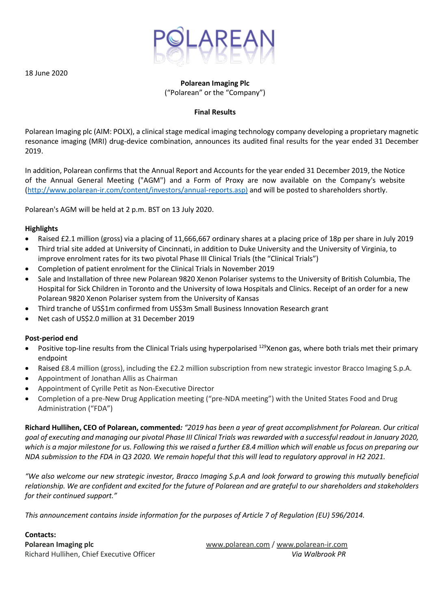

18 June 2020

# **Polarean Imaging Plc** ("Polarean" or the "Company")

### **Final Results**

Polarean Imaging plc (AIM: POLX), a clinical stage medical imaging technology company developing a proprietary magnetic resonance imaging (MRI) drug-device combination, announces its audited final results for the year ended 31 December 2019.

In addition, Polarean confirms that the Annual Report and Accounts for the year ended 31 December 2019, the Notice of the Annual General Meeting ("AGM") and a Form of Proxy are now available on the Company's website [\(http://www.polarean-ir.com/content/investors/annual-reports.asp\)](http://www.polarean-ir.com/content/investors/annual-reports.asp) and will be posted to shareholders shortly.

Polarean's AGM will be held at 2 p.m. BST on 13 July 2020.

### **Highlights**

- Raised £2.1 million (gross) via a placing of 11,666,667 ordinary shares at a placing price of 18p per share in July 2019
- Third trial site added at University of Cincinnati, in addition to Duke University and the University of Virginia, to improve enrolment rates for its two pivotal Phase III Clinical Trials (the "Clinical Trials")
- Completion of patient enrolment for the Clinical Trials in November 2019
- Sale and Installation of three new Polarean 9820 Xenon Polariser systems to the University of British Columbia, The Hospital for Sick Children in Toronto and the University of Iowa Hospitals and Clinics. Receipt of an order for a new Polarean 9820 Xenon Polariser system from the University of Kansas
- Third tranche of US\$1m confirmed from US\$3m Small Business Innovation Research grant
- Net cash of US\$2.0 million at 31 December 2019

### **Post-period end**

- Positive top-line results from the Clinical Trials using hyperpolarised <sup>129</sup>Xenon gas, where both trials met their primary endpoint
- Raised £8.4 million (gross), including the £2.2 million subscription from new strategic investor Bracco Imaging S.p.A.
- Appointment of Jonathan Allis as Chairman
- Appointment of Cyrille Petit as Non-Executive Director
- Completion of a pre-New Drug Application meeting ("pre-NDA meeting") with the United States Food and Drug Administration ("FDA")

**Richard Hullihen, CEO of Polarean, commented***: "2019 has been a year of great accomplishment for Polarean. Our critical goal of executing and managing our pivotal Phase III Clinical Trials was rewarded with a successful readout in January 2020, which is a major milestone for us. Following this we raised a further £8.4 million which will enable us focus on preparing our NDA submission to the FDA in Q3 2020. We remain hopeful that this will lead to regulatory approval in H2 2021.* 

*"We also welcome our new strategic investor, Bracco Imaging S.p.A and look forward to growing this mutually beneficial relationship. We are confident and excited for the future of Polarean and are grateful to our shareholders and stakeholders for their continued support."*

*This announcement contains inside information for the purposes of Article 7 of Regulation (EU) 596/2014.*

**Contacts:**

**Polarean Imaging plc** [www.polarean.com](http://www.polarean.com/) / [www.polarean-ir.com](http://www.polarean-ir.com/) Richard Hullihen, Chief Executive Officer *Via Walbrook PR*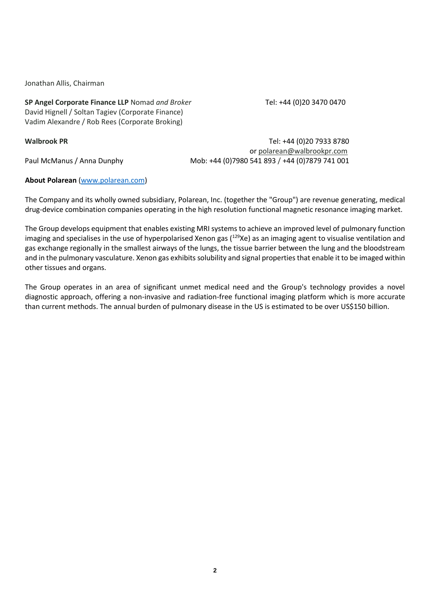Jonathan Allis, Chairman

**SP Angel Corporate Finance LLP** Nomad and Broker Tel: +44 (0)20 3470 0470 David Hignell / Soltan Tagiev (Corporate Finance) Vadim Alexandre / Rob Rees (Corporate Broking)

**Walbrook PR** Tel: +44 (0)20 7933 8780

or [polarean@walbrookpr.com](mailto:polarean@walbrookpr.com) Paul McManus / Anna Dunphy Mob: +44 (0)7980 541 893 / +44 (0)7879 741 001

### **About Polarean** [\(www.polarean.com\)](http://www.polarean.com/)

The Company and its wholly owned subsidiary, Polarean, Inc. (together the "Group") are revenue generating, medical drug-device combination companies operating in the high resolution functional magnetic resonance imaging market.

The Group develops equipment that enables existing MRI systems to achieve an improved level of pulmonary function imaging and specialises in the use of hyperpolarised Xenon gas  $(^{129}Xe)$  as an imaging agent to visualise ventilation and gas exchange regionally in the smallest airways of the lungs, the tissue barrier between the lung and the bloodstream and in the pulmonary vasculature. Xenon gas exhibits solubility and signal properties that enable it to be imaged within other tissues and organs.

The Group operates in an area of significant unmet medical need and the Group's technology provides a novel diagnostic approach, offering a non-invasive and radiation-free functional imaging platform which is more accurate than current methods. The annual burden of pulmonary disease in the US is estimated to be over US\$150 billion.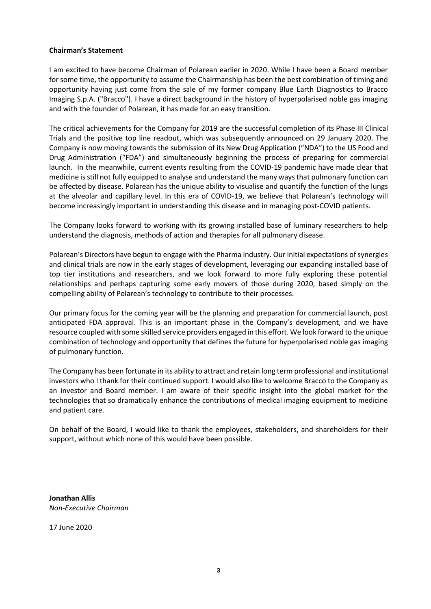### **Chairman's Statement**

I am excited to have become Chairman of Polarean earlier in 2020. While I have been a Board member for some time, the opportunity to assume the Chairmanship has been the best combination of timing and opportunity having just come from the sale of my former company Blue Earth Diagnostics to Bracco Imaging S.p.A. ("Bracco"). I have a direct background in the history of hyperpolarised noble gas imaging and with the founder of Polarean, it has made for an easy transition.

The critical achievements for the Company for 2019 are the successful completion of its Phase III Clinical Trials and the positive top line readout, which was subsequently announced on 29 January 2020. The Company is now moving towards the submission of its New Drug Application ("NDA") to the US Food and Drug Administration ("FDA") and simultaneously beginning the process of preparing for commercial launch. In the meanwhile, current events resulting from the COVID-19 pandemic have made clear that medicine is still not fully equipped to analyse and understand the many ways that pulmonary function can be affected by disease. Polarean has the unique ability to visualise and quantify the function of the lungs at the alveolar and capillary level. In this era of COVID-19, we believe that Polarean's technology will become increasingly important in understanding this disease and in managing post-COVID patients.

The Company looks forward to working with its growing installed base of luminary researchers to help understand the diagnosis, methods of action and therapies for all pulmonary disease.

Polarean's Directors have begun to engage with the Pharma industry. Our initial expectations of synergies and clinical trials are now in the early stages of development, leveraging our expanding installed base of top tier institutions and researchers, and we look forward to more fully exploring these potential relationships and perhaps capturing some early movers of those during 2020, based simply on the compelling ability of Polarean's technology to contribute to their processes.

Our primary focus for the coming year will be the planning and preparation for commercial launch, post anticipated FDA approval. This is an important phase in the Company's development, and we have resource coupled with some skilled service providers engaged in this effort. We look forward to the unique combination of technology and opportunity that defines the future for hyperpolarised noble gas imaging of pulmonary function.

The Company has been fortunate in its ability to attract and retain long term professional and institutional investors who I thank for their continued support. I would also like to welcome Bracco to the Company as an investor and Board member. I am aware of their specific insight into the global market for the technologies that so dramatically enhance the contributions of medical imaging equipment to medicine and patient care.

On behalf of the Board, I would like to thank the employees, stakeholders, and shareholders for their support, without which none of this would have been possible.

**Jonathan Allis** *Non-Executive Chairman*

17 June 2020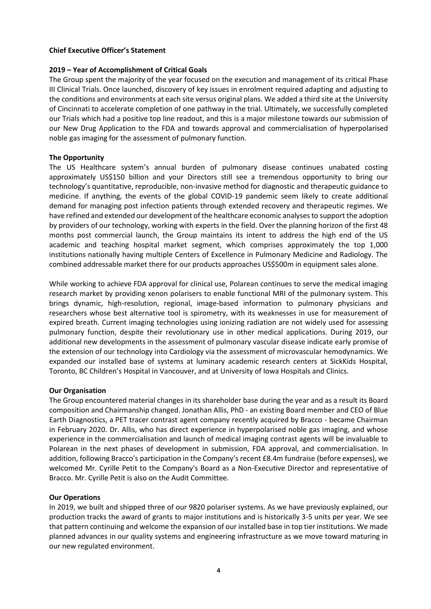### **Chief Executive Officer's Statement**

## **2019 – Year of Accomplishment of Critical Goals**

The Group spent the majority of the year focused on the execution and management of its critical Phase III Clinical Trials. Once launched, discovery of key issues in enrolment required adapting and adjusting to the conditions and environments at each site versus original plans. We added a third site at the University of Cincinnati to accelerate completion of one pathway in the trial. Ultimately, we successfully completed our Trials which had a positive top line readout, and this is a major milestone towards our submission of our New Drug Application to the FDA and towards approval and commercialisation of hyperpolarised noble gas imaging for the assessment of pulmonary function.

# **The Opportunity**

The US Healthcare system's annual burden of pulmonary disease continues unabated costing approximately US\$150 billion and your Directors still see a tremendous opportunity to bring our technology's quantitative, reproducible, non-invasive method for diagnostic and therapeutic guidance to medicine. If anything, the events of the global COVID-19 pandemic seem likely to create additional demand for managing post infection patients through extended recovery and therapeutic regimes. We have refined and extended our development of the healthcare economic analyses to support the adoption by providers of our technology, working with experts in the field. Over the planning horizon of the first 48 months post commercial launch, the Group maintains its intent to address the high end of the US academic and teaching hospital market segment, which comprises approximately the top 1,000 institutions nationally having multiple Centers of Excellence in Pulmonary Medicine and Radiology. The combined addressable market there for our products approaches US\$500m in equipment sales alone.

While working to achieve FDA approval for clinical use, Polarean continues to serve the medical imaging research market by providing xenon polarisers to enable functional MRI of the pulmonary system. This brings dynamic, high-resolution, regional, image-based information to pulmonary physicians and researchers whose best alternative tool is spirometry, with its weaknesses in use for measurement of expired breath. Current imaging technologies using ionizing radiation are not widely used for assessing pulmonary function, despite their revolutionary use in other medical applications. During 2019, our additional new developments in the assessment of pulmonary vascular disease indicate early promise of the extension of our technology into Cardiology via the assessment of microvascular hemodynamics. We expanded our installed base of systems at luminary academic research centers at SickKids Hospital, Toronto, BC Children's Hospital in Vancouver, and at University of Iowa Hospitals and Clinics.

### **Our Organisation**

The Group encountered material changes in its shareholder base during the year and as a result its Board composition and Chairmanship changed. Jonathan Allis, PhD - an existing Board member and CEO of Blue Earth Diagnostics, a PET tracer contrast agent company recently acquired by Bracco - became Chairman in February 2020. Dr. Allis, who has direct experience in hyperpolarised noble gas imaging, and whose experience in the commercialisation and launch of medical imaging contrast agents will be invaluable to Polarean in the next phases of development in submission, FDA approval, and commercialisation. In addition, following Bracco's participation in the Company's recent £8.4m fundraise (before expenses), we welcomed Mr. Cyrille Petit to the Company's Board as a Non-Executive Director and representative of Bracco. Mr. Cyrille Petit is also on the Audit Committee.

### **Our Operations**

In 2019, we built and shipped three of our 9820 polariser systems. As we have previously explained, our production tracks the award of grants to major institutions and is historically 3-5 units per year. We see that pattern continuing and welcome the expansion of our installed base in top tier institutions. We made planned advances in our quality systems and engineering infrastructure as we move toward maturing in our new regulated environment.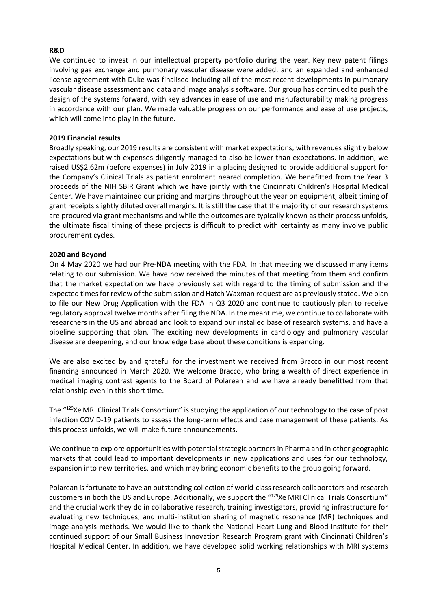# **R&D**

We continued to invest in our intellectual property portfolio during the year. Key new patent filings involving gas exchange and pulmonary vascular disease were added, and an expanded and enhanced license agreement with Duke was finalised including all of the most recent developments in pulmonary vascular disease assessment and data and image analysis software. Our group has continued to push the design of the systems forward, with key advances in ease of use and manufacturability making progress in accordance with our plan. We made valuable progress on our performance and ease of use projects, which will come into play in the future.

## **2019 Financial results**

Broadly speaking, our 2019 results are consistent with market expectations, with revenues slightly below expectations but with expenses diligently managed to also be lower than expectations. In addition, we raised US\$2.62m (before expenses) in July 2019 in a placing designed to provide additional support for the Company's Clinical Trials as patient enrolment neared completion. We benefitted from the Year 3 proceeds of the NIH SBIR Grant which we have jointly with the Cincinnati Children's Hospital Medical Center. We have maintained our pricing and margins throughout the year on equipment, albeit timing of grant receipts slightly diluted overall margins. It is still the case that the majority of our research systems are procured via grant mechanisms and while the outcomes are typically known as their process unfolds, the ultimate fiscal timing of these projects is difficult to predict with certainty as many involve public procurement cycles.

# **2020 and Beyond**

On 4 May 2020 we had our Pre-NDA meeting with the FDA. In that meeting we discussed many items relating to our submission. We have now received the minutes of that meeting from them and confirm that the market expectation we have previously set with regard to the timing of submission and the expected times for review of the submission and Hatch Waxman request are as previously stated. We plan to file our New Drug Application with the FDA in Q3 2020 and continue to cautiously plan to receive regulatory approval twelve months after filing the NDA. In the meantime, we continue to collaborate with researchers in the US and abroad and look to expand our installed base of research systems, and have a pipeline supporting that plan. The exciting new developments in cardiology and pulmonary vascular disease are deepening, and our knowledge base about these conditions is expanding.

We are also excited by and grateful for the investment we received from Bracco in our most recent financing announced in March 2020. We welcome Bracco, who bring a wealth of direct experience in medical imaging contrast agents to the Board of Polarean and we have already benefitted from that relationship even in this short time.

The "<sup>129</sup>Xe MRI Clinical Trials Consortium" is studying the application of our technology to the case of post infection COVID-19 patients to assess the long-term effects and case management of these patients. As this process unfolds, we will make future announcements.

We continue to explore opportunities with potential strategic partners in Pharma and in other geographic markets that could lead to important developments in new applications and uses for our technology, expansion into new territories, and which may bring economic benefits to the group going forward.

Polarean is fortunate to have an outstanding collection of world-class research collaborators and research customers in both the US and Europe. Additionally, we support the "<sup>129</sup>Xe MRI Clinical Trials Consortium" and the crucial work they do in collaborative research, training investigators, providing infrastructure for evaluating new techniques, and multi-institution sharing of magnetic resonance (MR) techniques and image analysis methods. We would like to thank the National Heart Lung and Blood Institute for their continued support of our Small Business Innovation Research Program grant with Cincinnati Children's Hospital Medical Center. In addition, we have developed solid working relationships with MRI systems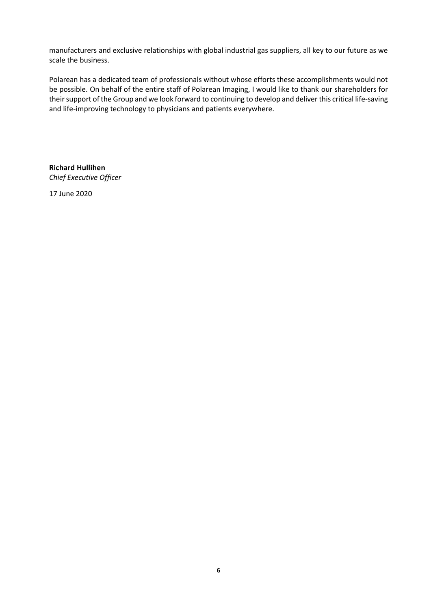manufacturers and exclusive relationships with global industrial gas suppliers, all key to our future as we scale the business.

Polarean has a dedicated team of professionals without whose efforts these accomplishments would not be possible. On behalf of the entire staff of Polarean Imaging, I would like to thank our shareholders for their support of the Group and we look forward to continuing to develop and deliver this critical life-saving and life-improving technology to physicians and patients everywhere.

**Richard Hullihen** *Chief Executive Officer* 

17 June 2020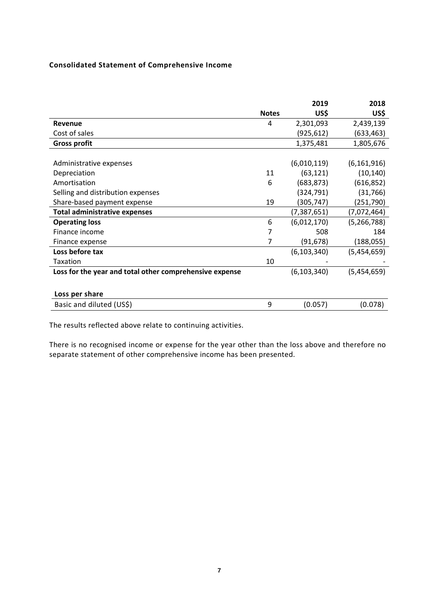# **Consolidated Statement of Comprehensive Income**

|                                                         |              | 2019          | 2018          |
|---------------------------------------------------------|--------------|---------------|---------------|
|                                                         | <b>Notes</b> | US\$          | US\$          |
| Revenue                                                 | 4            | 2,301,093     | 2,439,139     |
| Cost of sales                                           |              | (925,612)     | (633,463)     |
| <b>Gross profit</b>                                     |              | 1,375,481     | 1,805,676     |
|                                                         |              |               |               |
| Administrative expenses                                 |              | (6,010,119)   | (6, 161, 916) |
| Depreciation                                            | 11           | (63, 121)     | (10, 140)     |
| Amortisation                                            | 6            | (683, 873)    | (616, 852)    |
| Selling and distribution expenses                       |              | (324, 791)    | (31, 766)     |
| Share-based payment expense                             | 19           | (305,747)     | (251,790)     |
| <b>Total administrative expenses</b>                    |              | (7, 387, 651) | (7,072,464)   |
| <b>Operating loss</b>                                   | 6            | (6,012,170)   | (5, 266, 788) |
| Finance income                                          | 7            | 508           | 184           |
| Finance expense                                         | 7            | (91, 678)     | (188,055)     |
| Loss before tax                                         |              | (6, 103, 340) | (5,454,659)   |
| <b>Taxation</b>                                         | 10           |               |               |
| Loss for the year and total other comprehensive expense |              | (6, 103, 340) | (5,454,659)   |
|                                                         |              |               |               |
| Loss per share                                          |              |               |               |
| Basic and diluted (US\$)                                | 9            | (0.057)       | (0.078)       |
|                                                         |              |               |               |

The results reflected above relate to continuing activities.

There is no recognised income or expense for the year other than the loss above and therefore no separate statement of other comprehensive income has been presented.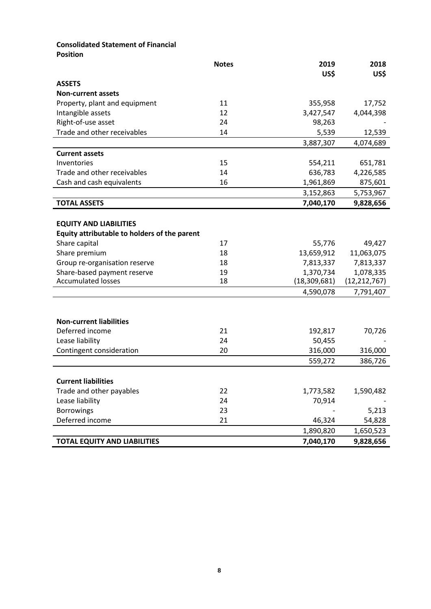# **Consolidated Statement of Financial**

**Position**

|                                              | <b>Notes</b> | 2019           | 2018           |
|----------------------------------------------|--------------|----------------|----------------|
|                                              |              | US\$           | US\$           |
| <b>ASSETS</b>                                |              |                |                |
| <b>Non-current assets</b>                    |              |                |                |
| Property, plant and equipment                | 11           | 355,958        | 17,752         |
| Intangible assets                            | 12           | 3,427,547      | 4,044,398      |
| Right-of-use asset                           | 24           | 98,263         |                |
| Trade and other receivables                  | 14           | 5,539          | 12,539         |
|                                              |              | 3,887,307      | 4,074,689      |
| <b>Current assets</b>                        |              |                |                |
| Inventories                                  | 15           | 554,211        | 651,781        |
| Trade and other receivables                  | 14           | 636,783        | 4,226,585      |
| Cash and cash equivalents                    | 16           | 1,961,869      | 875,601        |
|                                              |              | 3,152,863      | 5,753,967      |
| <b>TOTAL ASSETS</b>                          |              | 7,040,170      | 9,828,656      |
|                                              |              |                |                |
| <b>EQUITY AND LIABILITIES</b>                |              |                |                |
| Equity attributable to holders of the parent |              |                |                |
| Share capital                                | 17           | 55,776         | 49,427         |
| Share premium                                | 18           | 13,659,912     | 11,063,075     |
| Group re-organisation reserve                | 18           | 7,813,337      | 7,813,337      |
| Share-based payment reserve                  | 19           | 1,370,734      | 1,078,335      |
| <b>Accumulated losses</b>                    | 18           | (18, 309, 681) | (12, 212, 767) |
|                                              |              | 4,590,078      | 7,791,407      |
|                                              |              |                |                |
|                                              |              |                |                |
| <b>Non-current liabilities</b>               |              |                |                |
| Deferred income                              | 21           | 192,817        | 70,726         |
| Lease liability                              | 24           | 50,455         |                |
| Contingent consideration                     | 20           | 316,000        | 316,000        |
|                                              |              | 559,272        | 386,726        |
|                                              |              |                |                |
| <b>Current liabilities</b>                   |              |                |                |
| Trade and other payables                     | 22           | 1,773,582      | 1,590,482      |
| Lease liability                              | 24           | 70,914         |                |
| <b>Borrowings</b>                            | 23           |                | 5,213          |
| Deferred income                              | 21           | 46,324         | 54,828         |
|                                              |              | 1,890,820      | 1,650,523      |
| <b>TOTAL EQUITY AND LIABILITIES</b>          |              | 7,040,170      | 9,828,656      |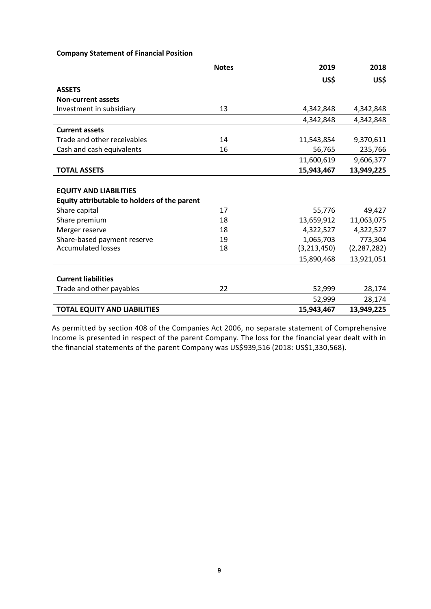## **Company Statement of Financial Position**

|                                              | <b>Notes</b> | 2019          | 2018          |
|----------------------------------------------|--------------|---------------|---------------|
|                                              |              | US\$          | US\$          |
| <b>ASSETS</b>                                |              |               |               |
| <b>Non-current assets</b>                    |              |               |               |
| Investment in subsidiary                     | 13           | 4,342,848     | 4,342,848     |
|                                              |              | 4,342,848     | 4,342,848     |
| <b>Current assets</b>                        |              |               |               |
| Trade and other receivables                  | 14           | 11,543,854    | 9,370,611     |
| Cash and cash equivalents                    | 16           | 56,765        | 235,766       |
|                                              |              | 11,600,619    | 9,606,377     |
| <b>TOTAL ASSETS</b>                          |              | 15,943,467    | 13,949,225    |
|                                              |              |               |               |
| <b>EQUITY AND LIABILITIES</b>                |              |               |               |
| Equity attributable to holders of the parent |              |               |               |
| Share capital                                | 17           | 55,776        | 49,427        |
| Share premium                                | 18           | 13,659,912    | 11,063,075    |
| Merger reserve                               | 18           | 4,322,527     | 4,322,527     |
| Share-based payment reserve                  | 19           | 1,065,703     | 773,304       |
| <b>Accumulated losses</b>                    | 18           | (3, 213, 450) | (2, 287, 282) |
|                                              |              | 15,890,468    | 13,921,051    |
|                                              |              |               |               |
| <b>Current liabilities</b>                   |              |               |               |
| Trade and other payables                     | 22           | 52,999        | 28,174        |
|                                              |              | 52,999        | 28,174        |
| <b>TOTAL EQUITY AND LIABILITIES</b>          |              | 15,943,467    | 13,949,225    |

As permitted by section 408 of the Companies Act 2006, no separate statement of Comprehensive Income is presented in respect of the parent Company. The loss for the financial year dealt with in the financial statements of the parent Company was US\$939,516 (2018: US\$1,330,568).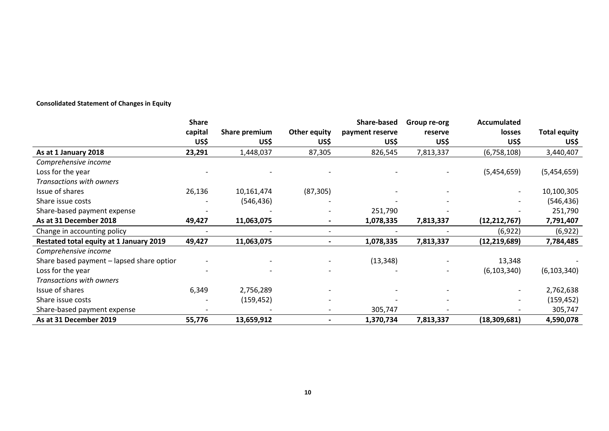# **Consolidated Statement of Changes in Equity**

|                                           | <b>Share</b> |               |                     | <b>Share-based</b> | Group re-org | <b>Accumulated</b> |                     |
|-------------------------------------------|--------------|---------------|---------------------|--------------------|--------------|--------------------|---------------------|
|                                           | capital      | Share premium | <b>Other equity</b> | payment reserve    | reserve      | losses             | <b>Total equity</b> |
|                                           | US\$         | US\$          | US\$                | US\$               | US\$         | US\$               | US\$                |
| As at 1 January 2018                      | 23,291       | 1,448,037     | 87,305              | 826,545            | 7,813,337    | (6,758,108)        | 3,440,407           |
| Comprehensive income                      |              |               |                     |                    |              |                    |                     |
| Loss for the year                         |              |               |                     |                    |              | (5,454,659)        | (5,454,659)         |
| Transactions with owners                  |              |               |                     |                    |              |                    |                     |
| Issue of shares                           | 26,136       | 10,161,474    | (87, 305)           |                    |              |                    | 10,100,305          |
| Share issue costs                         |              | (546,436)     |                     |                    |              |                    | (546, 436)          |
| Share-based payment expense               |              |               |                     | 251,790            |              |                    | 251,790             |
| As at 31 December 2018                    | 49,427       | 11,063,075    | $\blacksquare$      | 1,078,335          | 7,813,337    | (12, 212, 767)     | 7,791,407           |
| Change in accounting policy               |              |               |                     |                    |              | (6, 922)           | (6, 922)            |
| Restated total equity at 1 January 2019   | 49,427       | 11,063,075    | $\blacksquare$      | 1,078,335          | 7,813,337    | (12, 219, 689)     | 7,784,485           |
| Comprehensive income                      |              |               |                     |                    |              |                    |                     |
| Share based payment - lapsed share optior |              |               |                     | (13, 348)          |              | 13,348             |                     |
| Loss for the year                         |              |               |                     |                    |              | (6, 103, 340)      | (6, 103, 340)       |
| Transactions with owners                  |              |               |                     |                    |              |                    |                     |
| Issue of shares                           | 6,349        | 2,756,289     |                     |                    |              |                    | 2,762,638           |
| Share issue costs                         |              | (159, 452)    |                     |                    |              |                    | (159, 452)          |
| Share-based payment expense               |              |               |                     | 305,747            |              |                    | 305,747             |
| As at 31 December 2019                    | 55,776       | 13,659,912    |                     | 1,370,734          | 7,813,337    | (18, 309, 681)     | 4,590,078           |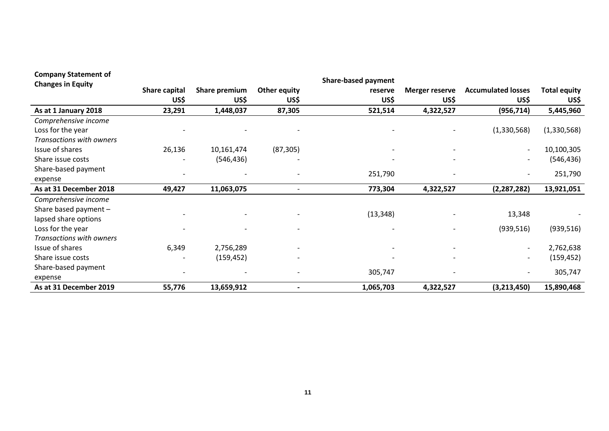| <b>Company Statement of</b> |                      |                          |                          | <b>Share-based payment</b> |                          |                              |                     |
|-----------------------------|----------------------|--------------------------|--------------------------|----------------------------|--------------------------|------------------------------|---------------------|
| <b>Changes in Equity</b>    | <b>Share capital</b> | Share premium            | <b>Other equity</b>      | reserve                    | <b>Merger reserve</b>    | <b>Accumulated losses</b>    | <b>Total equity</b> |
|                             | US\$                 | US\$                     | US\$                     | US\$                       | US\$                     | US\$                         | US\$                |
| As at 1 January 2018        | 23,291               | 1,448,037                | 87,305                   | 521,514                    | 4,322,527                | (956, 714)                   | 5,445,960           |
| Comprehensive income        |                      |                          |                          |                            |                          |                              |                     |
| Loss for the year           |                      |                          |                          |                            |                          | (1,330,568)                  | (1,330,568)         |
| Transactions with owners    |                      |                          |                          |                            |                          |                              |                     |
| Issue of shares             | 26,136               | 10,161,474               | (87, 305)                |                            | -                        | $\overline{\phantom{a}}$     | 10,100,305          |
| Share issue costs           |                      | (546, 436)               |                          |                            |                          |                              | (546, 436)          |
| Share-based payment         |                      |                          |                          |                            |                          |                              |                     |
| expense                     |                      |                          |                          | 251,790                    |                          |                              | 251,790             |
| As at 31 December 2018      | 49,427               | 11,063,075               | $\overline{\phantom{a}}$ | 773,304                    | 4,322,527                | (2, 287, 282)                | 13,921,051          |
| Comprehensive income        |                      |                          |                          |                            |                          |                              |                     |
| Share based payment -       |                      | $\overline{\phantom{a}}$ |                          | (13, 348)                  |                          | 13,348                       |                     |
| lapsed share options        |                      |                          |                          |                            |                          |                              |                     |
| Loss for the year           |                      |                          |                          |                            |                          | (939, 516)                   | (939, 516)          |
| Transactions with owners    |                      |                          |                          |                            |                          |                              |                     |
| Issue of shares             | 6,349                | 2,756,289                |                          |                            | $\overline{\phantom{0}}$ | $\qquad \qquad \blacksquare$ | 2,762,638           |
| Share issue costs           |                      | (159, 452)               |                          |                            |                          | $\overline{a}$               | (159, 452)          |
| Share-based payment         |                      |                          |                          |                            |                          |                              |                     |
| expense                     |                      |                          |                          | 305,747                    |                          |                              | 305,747             |
| As at 31 December 2019      | 55,776               | 13,659,912               |                          | 1,065,703                  | 4,322,527                | (3,213,450)                  | 15,890,468          |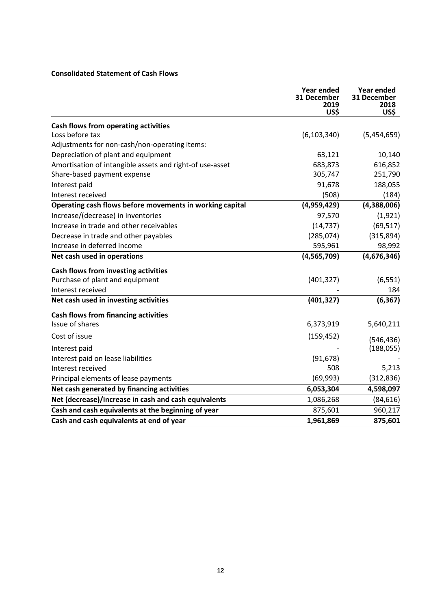# **Consolidated Statement of Cash Flows**

|                                                          | <b>Year ended</b><br>31 December<br>2019<br>US\$ | <b>Year ended</b><br>31 December<br>2018<br>US\$ |
|----------------------------------------------------------|--------------------------------------------------|--------------------------------------------------|
| <b>Cash flows from operating activities</b>              |                                                  |                                                  |
| Loss before tax                                          | (6, 103, 340)                                    | (5,454,659)                                      |
| Adjustments for non-cash/non-operating items:            |                                                  |                                                  |
| Depreciation of plant and equipment                      | 63,121                                           | 10,140                                           |
| Amortisation of intangible assets and right-of use-asset | 683,873                                          | 616,852                                          |
| Share-based payment expense                              | 305,747                                          | 251,790                                          |
| Interest paid                                            | 91,678                                           | 188,055                                          |
| Interest received                                        | (508)                                            | (184)                                            |
| Operating cash flows before movements in working capital | (4,959,429)                                      | (4,388,006)                                      |
| Increase/(decrease) in inventories                       | 97,570                                           | (1, 921)                                         |
| Increase in trade and other receivables                  | (14, 737)                                        | (69, 517)                                        |
| Decrease in trade and other payables                     | (285, 074)                                       | (315,894)                                        |
| Increase in deferred income                              | 595,961                                          | 98,992                                           |
| Net cash used in operations                              | (4, 565, 709)                                    | (4,676,346)                                      |
| Cash flows from investing activities                     |                                                  |                                                  |
| Purchase of plant and equipment                          | (401, 327)                                       | (6, 551)                                         |
| Interest received                                        |                                                  | 184                                              |
| Net cash used in investing activities                    | (401, 327)                                       | (6, 367)                                         |
| <b>Cash flows from financing activities</b>              |                                                  |                                                  |
| Issue of shares                                          | 6,373,919                                        | 5,640,211                                        |
| Cost of issue                                            | (159, 452)                                       | (546, 436)                                       |
| Interest paid                                            |                                                  | (188, 055)                                       |
| Interest paid on lease liabilities                       | (91, 678)                                        |                                                  |
| Interest received                                        | 508                                              | 5,213                                            |
| Principal elements of lease payments                     | (69, 993)                                        | (312, 836)                                       |
| Net cash generated by financing activities               | 6,053,304                                        | 4,598,097                                        |
| Net (decrease)/increase in cash and cash equivalents     | 1,086,268                                        | (84, 616)                                        |
| Cash and cash equivalents at the beginning of year       | 875,601                                          | 960,217                                          |
| Cash and cash equivalents at end of year                 | 1,961,869                                        | 875,601                                          |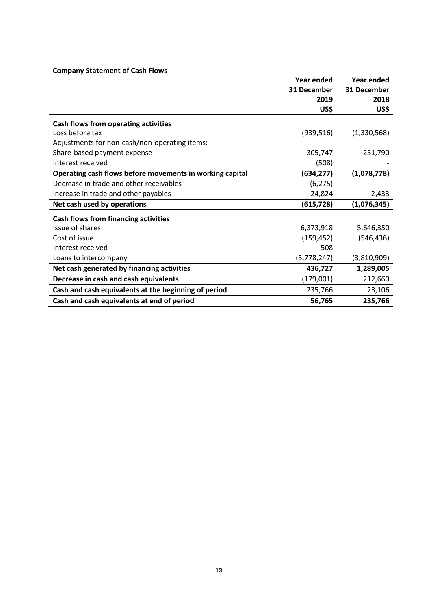# **Company Statement of Cash Flows**

|                                                          | Year ended  | Year ended  |
|----------------------------------------------------------|-------------|-------------|
|                                                          | 31 December | 31 December |
|                                                          | 2019        | 2018        |
|                                                          | US\$        | US\$        |
| Cash flows from operating activities                     |             |             |
| Loss before tax                                          | (939, 516)  | (1,330,568) |
| Adjustments for non-cash/non-operating items:            |             |             |
| Share-based payment expense                              | 305,747     | 251,790     |
| Interest received                                        | (508)       |             |
| Operating cash flows before movements in working capital | (634,277)   | (1,078,778) |
| Decrease in trade and other receivables                  | (6, 275)    |             |
| Increase in trade and other payables                     | 24,824      | 2,433       |
| Net cash used by operations                              | (615, 728)  | (1,076,345) |
| <b>Cash flows from financing activities</b>              |             |             |
| Issue of shares                                          | 6,373,918   | 5,646,350   |
| Cost of issue                                            | (159, 452)  | (546, 436)  |
| Interest received                                        | 508         |             |
| Loans to intercompany                                    | (5,778,247) | (3,810,909) |
| Net cash generated by financing activities               | 436,727     | 1,289,005   |
| Decrease in cash and cash equivalents                    | (179,001)   | 212,660     |
| Cash and cash equivalents at the beginning of period     | 235,766     | 23,106      |
| Cash and cash equivalents at end of period               | 56,765      | 235,766     |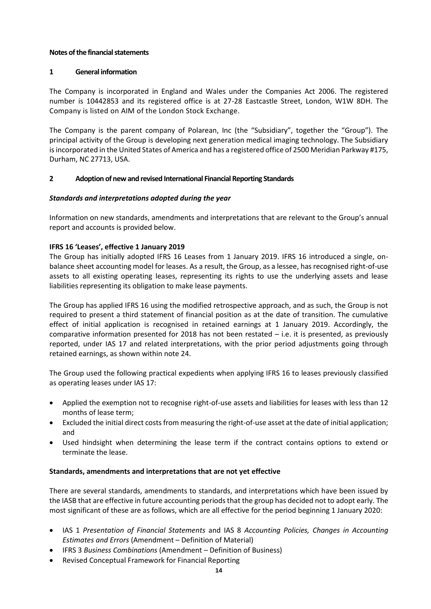## **Notes of the financial statements**

# **1 General information**

The Company is incorporated in England and Wales under the Companies Act 2006. The registered number is 10442853 and its registered office is at 27-28 Eastcastle Street, London, W1W 8DH. The Company is listed on AIM of the London Stock Exchange.

The Company is the parent company of Polarean, Inc (the "Subsidiary", together the "Group"). The principal activity of the Group is developing next generation medical imaging technology. The Subsidiary is incorporated in the United States of America and has a registered office of 2500 Meridian Parkway #175, Durham, NC 27713, USA.

# **2 Adoption of new and revised International Financial Reporting Standards**

# *Standards and interpretations adopted during the year*

Information on new standards, amendments and interpretations that are relevant to the Group's annual report and accounts is provided below.

# **IFRS 16 'Leases', effective 1 January 2019**

The Group has initially adopted IFRS 16 Leases from 1 January 2019. IFRS 16 introduced a single, onbalance sheet accounting model for leases. As a result, the Group, as a lessee, has recognised right-of-use assets to all existing operating leases, representing its rights to use the underlying assets and lease liabilities representing its obligation to make lease payments.

The Group has applied IFRS 16 using the modified retrospective approach, and as such, the Group is not required to present a third statement of financial position as at the date of transition. The cumulative effect of initial application is recognised in retained earnings at 1 January 2019. Accordingly, the comparative information presented for 2018 has not been restated – i.e. it is presented, as previously reported, under IAS 17 and related interpretations, with the prior period adjustments going through retained earnings, as shown within note 24.

The Group used the following practical expedients when applying IFRS 16 to leases previously classified as operating leases under IAS 17:

- Applied the exemption not to recognise right-of-use assets and liabilities for leases with less than 12 months of lease term;
- Excluded the initial direct costs from measuring the right-of-use asset at the date of initial application; and
- Used hindsight when determining the lease term if the contract contains options to extend or terminate the lease.

# **Standards, amendments and interpretations that are not yet effective**

There are several standards, amendments to standards, and interpretations which have been issued by the IASB that are effective in future accounting periods that the group has decided not to adopt early. The most significant of these are as follows, which are all effective for the period beginning 1 January 2020:

- IAS 1 *Presentation of Financial Statements* and IAS 8 *Accounting Policies, Changes in Accounting Estimates and Errors* (Amendment – Definition of Material)
- IFRS 3 *Business Combinations* (Amendment Definition of Business)
- Revised Conceptual Framework for Financial Reporting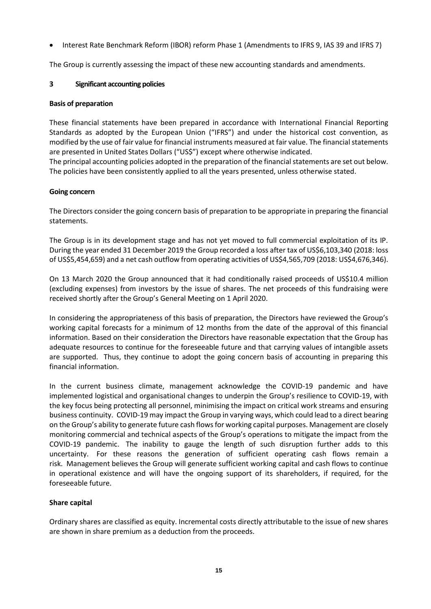• Interest Rate Benchmark Reform (IBOR) reform Phase 1 (Amendments to IFRS 9, IAS 39 and IFRS 7)

The Group is currently assessing the impact of these new accounting standards and amendments.

### **3 Significant accounting policies**

### **Basis of preparation**

These financial statements have been prepared in accordance with International Financial Reporting Standards as adopted by the European Union ("IFRS") and under the historical cost convention, as modified by the use of fair value for financial instruments measured at fair value. The financial statements are presented in United States Dollars ("US\$") except where otherwise indicated.

The principal accounting policies adopted in the preparation of the financial statements are set out below. The policies have been consistently applied to all the years presented, unless otherwise stated.

### **Going concern**

The Directors consider the going concern basis of preparation to be appropriate in preparing the financial statements.

The Group is in its development stage and has not yet moved to full commercial exploitation of its IP. During the year ended 31 December 2019 the Group recorded a loss after tax of US\$6,103,340 (2018: loss of US\$5,454,659) and a net cash outflow from operating activities of US\$4,565,709 (2018: US\$4,676,346).

On 13 March 2020 the Group announced that it had conditionally raised proceeds of US\$10.4 million (excluding expenses) from investors by the issue of shares. The net proceeds of this fundraising were received shortly after the Group's General Meeting on 1 April 2020.

In considering the appropriateness of this basis of preparation, the Directors have reviewed the Group's working capital forecasts for a minimum of 12 months from the date of the approval of this financial information. Based on their consideration the Directors have reasonable expectation that the Group has adequate resources to continue for the foreseeable future and that carrying values of intangible assets are supported. Thus, they continue to adopt the going concern basis of accounting in preparing this financial information.

In the current business climate, management acknowledge the COVID-19 pandemic and have implemented logistical and organisational changes to underpin the Group's resilience to COVID-19, with the key focus being protecting all personnel, minimising the impact on critical work streams and ensuring business continuity. COVID-19 may impact the Group in varying ways, which could lead to a direct bearing on the Group's ability to generate future cash flows for working capital purposes. Management are closely monitoring commercial and technical aspects of the Group's operations to mitigate the impact from the COVID-19 pandemic. The inability to gauge the length of such disruption further adds to this uncertainty. For these reasons the generation of sufficient operating cash flows remain a risk. Management believes the Group will generate sufficient working capital and cash flows to continue in operational existence and will have the ongoing support of its shareholders, if required, for the foreseeable future.

# **Share capital**

Ordinary shares are classified as equity. Incremental costs directly attributable to the issue of new shares are shown in share premium as a deduction from the proceeds.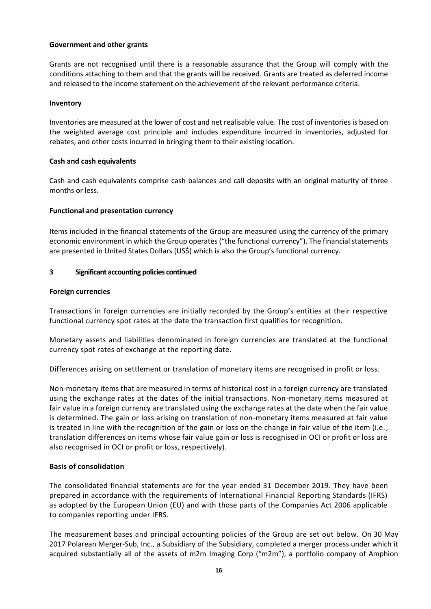### **Government and other grants**

Grants are not recognised until there is a reasonable assurance that the Group will comply with the conditions attaching to them and that the grants will be received. Grants are treated as deferred income and released to the income statement on the achievement of the relevant performance criteria.

#### **Inventory**

Inventories are measured at the lower of cost and net realisable value. The cost of inventories is based on the weighted average cost principle and includes expenditure incurred in inventories, adjusted for rebates, and other costs incurred in bringing them to their existing location.

### **Cash and cash equivalents**

Cash and cash equivalents comprise cash balances and call deposits with an original maturity of three months or less.

### **Functional and presentation currency**

Items included in the financial statements of the Group are measured using the currency of the primary economic environment in which the Group operates ("the functional currency"). The financial statements are presented in United States Dollars (US\$) which is also the Group's functional currency.

### **3 Significant accounting policies continued**

#### **Foreign currencies**

Transactions in foreign currencies are initially recorded by the Group's entities at their respective functional currency spot rates at the date the transaction first qualifies for recognition.

Monetary assets and liabilities denominated in foreign currencies are translated at the functional currency spot rates of exchange at the reporting date.

Differences arising on settlement or translation of monetary items are recognised in profit or loss.

Non-monetary items that are measured in terms of historical cost in a foreign currency are translated using the exchange rates at the dates of the initial transactions. Non-monetary items measured at fair value in a foreign currency are translated using the exchange rates at the date when the fair value is determined. The gain or loss arising on translation of non-monetary items measured at fair value is treated in line with the recognition of the gain or loss on the change in fair value of the item (i.e., translation differences on items whose fair value gain or loss is recognised in OCI or profit or loss are also recognised in OCI or profit or loss, respectively).

### **Basis of consolidation**

The consolidated financial statements are for the year ended 31 December 2019. They have been prepared in accordance with the requirements of International Financial Reporting Standards (IFRS) as adopted by the European Union (EU) and with those parts of the Companies Act 2006 applicable to companies reporting under IFRS.

The measurement bases and principal accounting policies of the Group are set out below. On 30 May 2017 Polarean Merger-Sub, Inc., a Subsidiary of the Subsidiary, completed a merger process under which it acquired substantially all of the assets of m2m Imaging Corp ("m2m"), a portfolio company of Amphion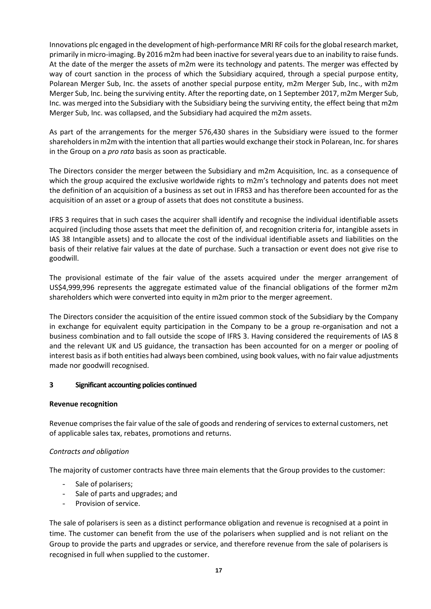Innovations plc engaged in the development of high-performance MRI RF coils for the global research market, primarily in micro-imaging. By 2016 m2m had been inactive for several years due to an inability to raise funds. At the date of the merger the assets of m2m were its technology and patents. The merger was effected by way of court sanction in the process of which the Subsidiary acquired, through a special purpose entity, Polarean Merger Sub, Inc. the assets of another special purpose entity, m2m Merger Sub, Inc., with m2m Merger Sub, Inc. being the surviving entity. After the reporting date, on 1 September 2017, m2m Merger Sub, Inc. was merged into the Subsidiary with the Subsidiary being the surviving entity, the effect being that m2m Merger Sub, Inc. was collapsed, and the Subsidiary had acquired the m2m assets.

As part of the arrangements for the merger 576,430 shares in the Subsidiary were issued to the former shareholders in m2m with the intention that all parties would exchange their stock in Polarean, Inc. for shares in the Group on a *pro rata* basis as soon as practicable.

The Directors consider the merger between the Subsidiary and m2m Acquisition, Inc. as a consequence of which the group acquired the exclusive worldwide rights to m2m's technology and patents does not meet the definition of an acquisition of a business as set out in IFRS3 and has therefore been accounted for as the acquisition of an asset or a group of assets that does not constitute a business.

IFRS 3 requires that in such cases the acquirer shall identify and recognise the individual identifiable assets acquired (including those assets that meet the definition of, and recognition criteria for, intangible assets in IAS 38 Intangible assets) and to allocate the cost of the individual identifiable assets and liabilities on the basis of their relative fair values at the date of purchase. Such a transaction or event does not give rise to goodwill.

The provisional estimate of the fair value of the assets acquired under the merger arrangement of US\$4,999,996 represents the aggregate estimated value of the financial obligations of the former m2m shareholders which were converted into equity in m2m prior to the merger agreement.

The Directors consider the acquisition of the entire issued common stock of the Subsidiary by the Company in exchange for equivalent equity participation in the Company to be a group re-organisation and not a business combination and to fall outside the scope of IFRS 3. Having considered the requirements of IAS 8 and the relevant UK and US guidance, the transaction has been accounted for on a merger or pooling of interest basis as if both entities had always been combined, using book values, with no fair value adjustments made nor goodwill recognised.

### **3 Significant accounting policies continued**

### **Revenue recognition**

Revenue comprises the fair value of the sale of goods and rendering of services to external customers, net of applicable sales tax, rebates, promotions and returns.

### *Contracts and obligation*

The majority of customer contracts have three main elements that the Group provides to the customer:

- Sale of polarisers;
- Sale of parts and upgrades; and
- Provision of service.

The sale of polarisers is seen as a distinct performance obligation and revenue is recognised at a point in time. The customer can benefit from the use of the polarisers when supplied and is not reliant on the Group to provide the parts and upgrades or service, and therefore revenue from the sale of polarisers is recognised in full when supplied to the customer.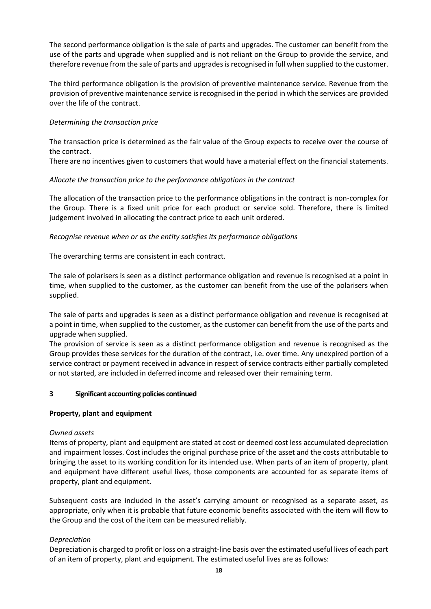The second performance obligation is the sale of parts and upgrades. The customer can benefit from the use of the parts and upgrade when supplied and is not reliant on the Group to provide the service, and therefore revenue from the sale of parts and upgrades is recognised in full when supplied to the customer.

The third performance obligation is the provision of preventive maintenance service. Revenue from the provision of preventive maintenance service is recognised in the period in which the services are provided over the life of the contract.

# *Determining the transaction price*

The transaction price is determined as the fair value of the Group expects to receive over the course of the contract.

There are no incentives given to customers that would have a material effect on the financial statements.

# *Allocate the transaction price to the performance obligations in the contract*

The allocation of the transaction price to the performance obligations in the contract is non-complex for the Group. There is a fixed unit price for each product or service sold. Therefore, there is limited judgement involved in allocating the contract price to each unit ordered.

# *Recognise revenue when or as the entity satisfies its performance obligations*

The overarching terms are consistent in each contract.

The sale of polarisers is seen as a distinct performance obligation and revenue is recognised at a point in time, when supplied to the customer, as the customer can benefit from the use of the polarisers when supplied.

The sale of parts and upgrades is seen as a distinct performance obligation and revenue is recognised at a point in time, when supplied to the customer, as the customer can benefit from the use of the parts and upgrade when supplied.

The provision of service is seen as a distinct performance obligation and revenue is recognised as the Group provides these services for the duration of the contract, i.e. over time. Any unexpired portion of a service contract or payment received in advance in respect of service contracts either partially completed or not started, are included in deferred income and released over their remaining term.

### **3 Significant accounting policies continued**

### **Property, plant and equipment**

### *Owned assets*

Items of property, plant and equipment are stated at cost or deemed cost less accumulated depreciation and impairment losses. Cost includes the original purchase price of the asset and the costs attributable to bringing the asset to its working condition for its intended use. When parts of an item of property, plant and equipment have different useful lives, those components are accounted for as separate items of property, plant and equipment.

Subsequent costs are included in the asset's carrying amount or recognised as a separate asset, as appropriate, only when it is probable that future economic benefits associated with the item will flow to the Group and the cost of the item can be measured reliably.

### *Depreciation*

Depreciation is charged to profit or loss on a straight-line basis over the estimated useful lives of each part of an item of property, plant and equipment. The estimated useful lives are as follows: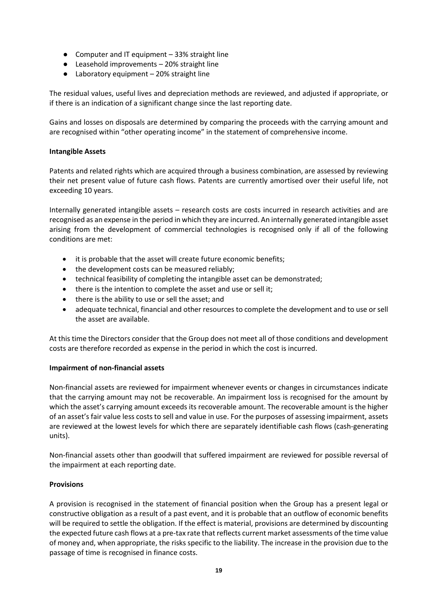- Computer and IT equipment 33% straight line
- Leasehold improvements 20% straight line
- Laboratory equipment 20% straight line

The residual values, useful lives and depreciation methods are reviewed, and adjusted if appropriate, or if there is an indication of a significant change since the last reporting date.

Gains and losses on disposals are determined by comparing the proceeds with the carrying amount and are recognised within "other operating income" in the statement of comprehensive income.

# **Intangible Assets**

Patents and related rights which are acquired through a business combination, are assessed by reviewing their net present value of future cash flows. Patents are currently amortised over their useful life, not exceeding 10 years.

Internally generated intangible assets – research costs are costs incurred in research activities and are recognised as an expense in the period in which they are incurred. An internally generated intangible asset arising from the development of commercial technologies is recognised only if all of the following conditions are met:

- it is probable that the asset will create future economic benefits;
- the development costs can be measured reliably;
- technical feasibility of completing the intangible asset can be demonstrated;
- there is the intention to complete the asset and use or sell it;
- there is the ability to use or sell the asset; and
- adequate technical, financial and other resources to complete the development and to use or sell the asset are available.

At this time the Directors consider that the Group does not meet all of those conditions and development costs are therefore recorded as expense in the period in which the cost is incurred.

# **Impairment of non-financial assets**

Non-financial assets are reviewed for impairment whenever events or changes in circumstances indicate that the carrying amount may not be recoverable. An impairment loss is recognised for the amount by which the asset's carrying amount exceeds its recoverable amount. The recoverable amount is the higher of an asset's fair value less costs to sell and value in use. For the purposes of assessing impairment, assets are reviewed at the lowest levels for which there are separately identifiable cash flows (cash-generating units).

Non-financial assets other than goodwill that suffered impairment are reviewed for possible reversal of the impairment at each reporting date.

# **Provisions**

A provision is recognised in the statement of financial position when the Group has a present legal or constructive obligation as a result of a past event, and it is probable that an outflow of economic benefits will be required to settle the obligation. If the effect is material, provisions are determined by discounting the expected future cash flows at a pre-tax rate that reflects current market assessments of the time value of money and, when appropriate, the risks specific to the liability. The increase in the provision due to the passage of time is recognised in finance costs.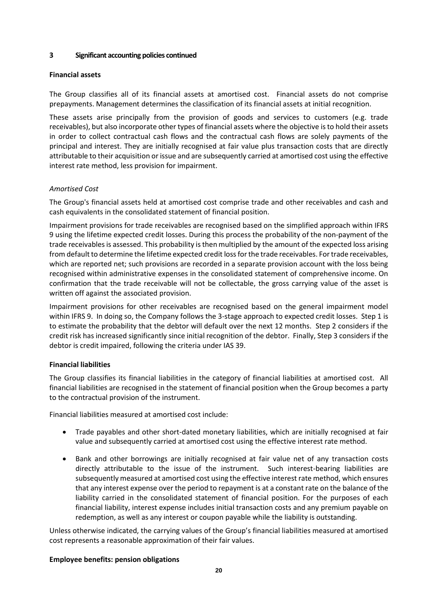### **3 Significant accounting policies continued**

# **Financial assets**

The Group classifies all of its financial assets at amortised cost. Financial assets do not comprise prepayments. Management determines the classification of its financial assets at initial recognition.

These assets arise principally from the provision of goods and services to customers (e.g. trade receivables), but also incorporate other types of financial assets where the objective is to hold their assets in order to collect contractual cash flows and the contractual cash flows are solely payments of the principal and interest. They are initially recognised at fair value plus transaction costs that are directly attributable to their acquisition or issue and are subsequently carried at amortised cost using the effective interest rate method, less provision for impairment.

# *Amortised Cost*

The Group's financial assets held at amortised cost comprise trade and other receivables and cash and cash equivalents in the consolidated statement of financial position.

Impairment provisions for trade receivables are recognised based on the simplified approach within IFRS 9 using the lifetime expected credit losses. During this process the probability of the non-payment of the trade receivables is assessed. This probability is then multiplied by the amount of the expected loss arising from default to determine the lifetime expected credit loss for the trade receivables. For trade receivables, which are reported net; such provisions are recorded in a separate provision account with the loss being recognised within administrative expenses in the consolidated statement of comprehensive income. On confirmation that the trade receivable will not be collectable, the gross carrying value of the asset is written off against the associated provision.

Impairment provisions for other receivables are recognised based on the general impairment model within IFRS 9. In doing so, the Company follows the 3-stage approach to expected credit losses. Step 1 is to estimate the probability that the debtor will default over the next 12 months. Step 2 considers if the credit risk has increased significantly since initial recognition of the debtor. Finally, Step 3 considers if the debtor is credit impaired, following the criteria under IAS 39.

# **Financial liabilities**

The Group classifies its financial liabilities in the category of financial liabilities at amortised cost. All financial liabilities are recognised in the statement of financial position when the Group becomes a party to the contractual provision of the instrument.

Financial liabilities measured at amortised cost include:

- Trade payables and other short-dated monetary liabilities, which are initially recognised at fair value and subsequently carried at amortised cost using the effective interest rate method.
- Bank and other borrowings are initially recognised at fair value net of any transaction costs directly attributable to the issue of the instrument. Such interest-bearing liabilities are subsequently measured at amortised cost using the effective interest rate method, which ensures that any interest expense over the period to repayment is at a constant rate on the balance of the liability carried in the consolidated statement of financial position. For the purposes of each financial liability, interest expense includes initial transaction costs and any premium payable on redemption, as well as any interest or coupon payable while the liability is outstanding.

Unless otherwise indicated, the carrying values of the Group's financial liabilities measured at amortised cost represents a reasonable approximation of their fair values.

### **Employee benefits: pension obligations**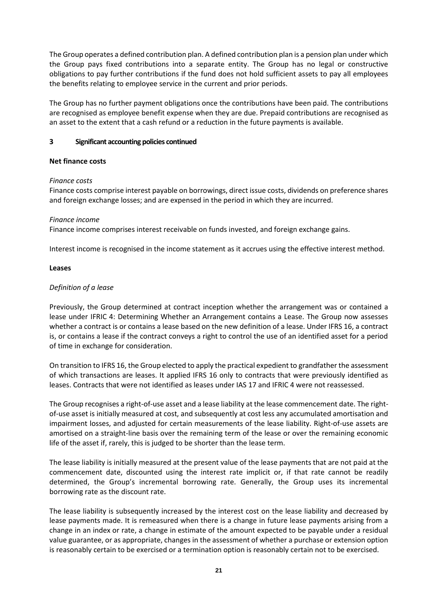The Group operates a defined contribution plan. A defined contribution plan is a pension plan under which the Group pays fixed contributions into a separate entity. The Group has no legal or constructive obligations to pay further contributions if the fund does not hold sufficient assets to pay all employees the benefits relating to employee service in the current and prior periods.

The Group has no further payment obligations once the contributions have been paid. The contributions are recognised as employee benefit expense when they are due. Prepaid contributions are recognised as an asset to the extent that a cash refund or a reduction in the future payments is available.

## **3 Significant accounting policies continued**

# **Net finance costs**

# *Finance costs*

Finance costs comprise interest payable on borrowings, direct issue costs, dividends on preference shares and foreign exchange losses; and are expensed in the period in which they are incurred.

# *Finance income*

Finance income comprises interest receivable on funds invested, and foreign exchange gains.

Interest income is recognised in the income statement as it accrues using the effective interest method.

# **Leases**

# *Definition of a lease*

Previously, the Group determined at contract inception whether the arrangement was or contained a lease under IFRIC 4: Determining Whether an Arrangement contains a Lease. The Group now assesses whether a contract is or contains a lease based on the new definition of a lease. Under IFRS 16, a contract is, or contains a lease if the contract conveys a right to control the use of an identified asset for a period of time in exchange for consideration.

On transition to IFRS 16, the Group elected to apply the practical expedient to grandfather the assessment of which transactions are leases. It applied IFRS 16 only to contracts that were previously identified as leases. Contracts that were not identified as leases under IAS 17 and IFRIC 4 were not reassessed.

The Group recognises a right-of-use asset and a lease liability at the lease commencement date. The rightof-use asset is initially measured at cost, and subsequently at cost less any accumulated amortisation and impairment losses, and adjusted for certain measurements of the lease liability. Right-of-use assets are amortised on a straight-line basis over the remaining term of the lease or over the remaining economic life of the asset if, rarely, this is judged to be shorter than the lease term.

The lease liability is initially measured at the present value of the lease payments that are not paid at the commencement date, discounted using the interest rate implicit or, if that rate cannot be readily determined, the Group's incremental borrowing rate. Generally, the Group uses its incremental borrowing rate as the discount rate.

The lease liability is subsequently increased by the interest cost on the lease liability and decreased by lease payments made. It is remeasured when there is a change in future lease payments arising from a change in an index or rate, a change in estimate of the amount expected to be payable under a residual value guarantee, or as appropriate, changes in the assessment of whether a purchase or extension option is reasonably certain to be exercised or a termination option is reasonably certain not to be exercised.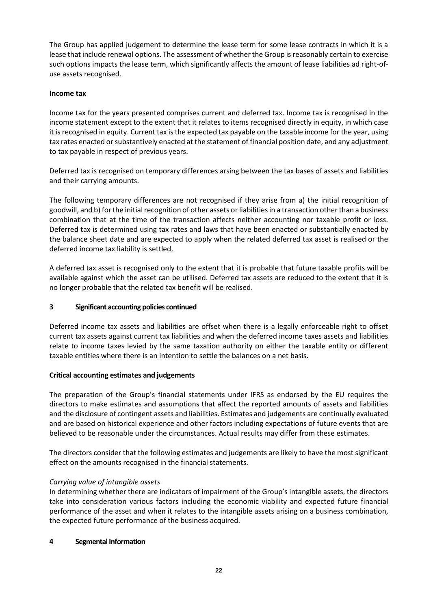The Group has applied judgement to determine the lease term for some lease contracts in which it is a lease that include renewal options. The assessment of whether the Group is reasonably certain to exercise such options impacts the lease term, which significantly affects the amount of lease liabilities ad right-ofuse assets recognised.

## **Income tax**

Income tax for the years presented comprises current and deferred tax. Income tax is recognised in the income statement except to the extent that it relates to items recognised directly in equity, in which case it is recognised in equity. Current tax is the expected tax payable on the taxable income for the year, using tax rates enacted or substantively enacted at the statement of financial position date, and any adjustment to tax payable in respect of previous years.

Deferred tax is recognised on temporary differences arsing between the tax bases of assets and liabilities and their carrying amounts.

The following temporary differences are not recognised if they arise from a) the initial recognition of goodwill, and b) for the initial recognition of other assets or liabilities in a transaction other than a business combination that at the time of the transaction affects neither accounting nor taxable profit or loss. Deferred tax is determined using tax rates and laws that have been enacted or substantially enacted by the balance sheet date and are expected to apply when the related deferred tax asset is realised or the deferred income tax liability is settled.

A deferred tax asset is recognised only to the extent that it is probable that future taxable profits will be available against which the asset can be utilised. Deferred tax assets are reduced to the extent that it is no longer probable that the related tax benefit will be realised.

# **3 Significant accounting policies continued**

Deferred income tax assets and liabilities are offset when there is a legally enforceable right to offset current tax assets against current tax liabilities and when the deferred income taxes assets and liabilities relate to income taxes levied by the same taxation authority on either the taxable entity or different taxable entities where there is an intention to settle the balances on a net basis.

### **Critical accounting estimates and judgements**

The preparation of the Group's financial statements under IFRS as endorsed by the EU requires the directors to make estimates and assumptions that affect the reported amounts of assets and liabilities and the disclosure of contingent assets and liabilities. Estimates and judgements are continually evaluated and are based on historical experience and other factors including expectations of future events that are believed to be reasonable under the circumstances. Actual results may differ from these estimates.

The directors consider that the following estimates and judgements are likely to have the most significant effect on the amounts recognised in the financial statements.

# *Carrying value of intangible assets*

In determining whether there are indicators of impairment of the Group's intangible assets, the directors take into consideration various factors including the economic viability and expected future financial performance of the asset and when it relates to the intangible assets arising on a business combination, the expected future performance of the business acquired.

### **4 Segmental Information**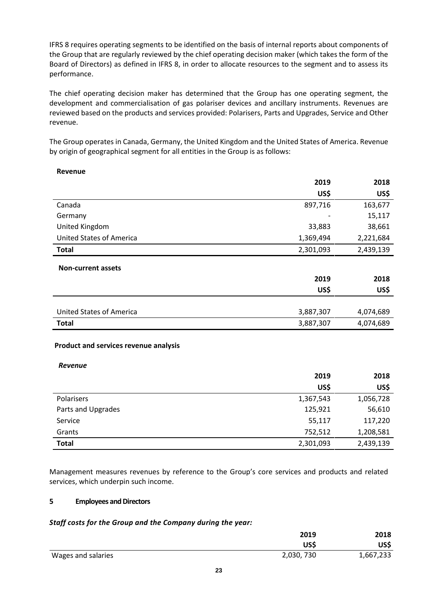IFRS 8 requires operating segments to be identified on the basis of internal reports about components of the Group that are regularly reviewed by the chief operating decision maker (which takes the form of the Board of Directors) as defined in IFRS 8, in order to allocate resources to the segment and to assess its performance.

The chief operating decision maker has determined that the Group has one operating segment, the development and commercialisation of gas polariser devices and ancillary instruments. Revenues are reviewed based on the products and services provided: Polarisers, Parts and Upgrades, Service and Other revenue.

The Group operates in Canada, Germany, the United Kingdom and the United States of America. Revenue by origin of geographical segment for all entities in the Group is as follows:

# **Revenue**

|                                 | 2019      | 2018      |
|---------------------------------|-----------|-----------|
|                                 | US\$      | US\$      |
| Canada                          | 897,716   | 163,677   |
| Germany                         |           | 15,117    |
| United Kingdom                  | 33,883    | 38,661    |
| <b>United States of America</b> | 1,369,494 | 2,221,684 |
| <b>Total</b>                    | 2,301,093 | 2,439,139 |
| <b>Non-current assets</b>       |           |           |
|                                 | 2019      | 2018      |
|                                 | US\$      | US\$      |
|                                 |           |           |
| <b>United States of America</b> | 3,887,307 | 4,074,689 |
| <b>Total</b>                    | 3,887,307 | 4,074,689 |

### **Product and services revenue analysis**

*Revenue*

|                    | 2019      | 2018      |
|--------------------|-----------|-----------|
|                    | US\$      | US\$      |
| Polarisers         | 1,367,543 | 1,056,728 |
| Parts and Upgrades | 125,921   | 56,610    |
| Service            | 55,117    | 117,220   |
| Grants             | 752,512   | 1,208,581 |
| <b>Total</b>       | 2,301,093 | 2,439,139 |

Management measures revenues by reference to the Group's core services and products and related services, which underpin such income.

### **5 Employees and Directors**

# *Staff costs for the Group and the Company during the year:*

|                    | 2019       | 2018      |
|--------------------|------------|-----------|
|                    | US\$       | US\$      |
| Wages and salaries | 2,030, 730 | 1,667,233 |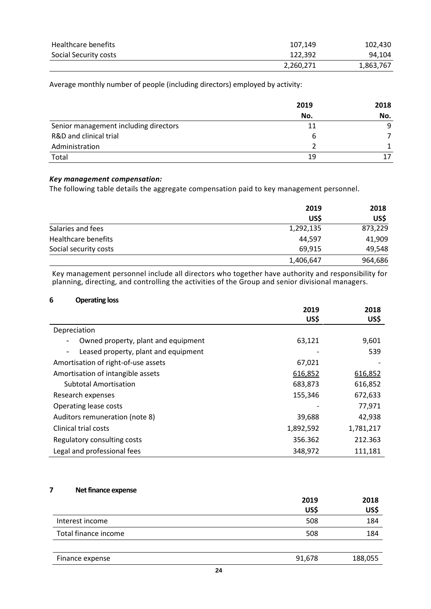| Healthcare benefits   | 107.149   | 102,430   |
|-----------------------|-----------|-----------|
| Social Security costs | 122.392   | 94,104    |
|                       | 2,260,271 | 1,863,767 |

Average monthly number of people (including directors) employed by activity:

|                                       | 2019 | 2018<br>No. |
|---------------------------------------|------|-------------|
|                                       | No.  |             |
| Senior management including directors | 11   | 9           |
| R&D and clinical trial                | b    |             |
| Administration                        |      |             |
| Total                                 | 19   | 17          |

### *Key management compensation:*

The following table details the aggregate compensation paid to key management personnel.

|                            | 2019      | 2018    |
|----------------------------|-----------|---------|
|                            | US\$      | US\$    |
| Salaries and fees          | 1,292,135 | 873,229 |
| <b>Healthcare benefits</b> | 44.597    | 41,909  |
| Social security costs      | 69,915    | 49,548  |
|                            | 1,406,647 | 964,686 |

Key management personnel include all directors who together have authority and responsibility for planning, directing, and controlling the activities of the Group and senior divisional managers.

### **6 Operating loss**

|                                                                  | 2019      | 2018      |
|------------------------------------------------------------------|-----------|-----------|
|                                                                  | US\$      | US\$      |
| Depreciation                                                     |           |           |
| Owned property, plant and equipment                              | 63,121    | 9,601     |
| Leased property, plant and equipment<br>$\overline{\phantom{a}}$ |           | 539       |
| Amortisation of right-of-use assets                              | 67,021    |           |
| Amortisation of intangible assets                                | 616,852   | 616,852   |
| <b>Subtotal Amortisation</b>                                     | 683,873   | 616,852   |
| Research expenses                                                | 155,346   | 672,633   |
| Operating lease costs                                            |           | 77,971    |
| Auditors remuneration (note 8)                                   | 39,688    | 42,938    |
| Clinical trial costs                                             | 1,892,592 | 1,781,217 |
| Regulatory consulting costs                                      | 356.362   | 212.363   |
| Legal and professional fees                                      | 348,972   | 111,181   |

### **7 Net finance expense**

|                      | 2019   | 2018    |
|----------------------|--------|---------|
|                      | US\$   | US\$    |
| Interest income      | 508    | 184     |
| Total finance income | 508    | 184     |
|                      |        |         |
| Finance expense      | 91,678 | 188,055 |
|                      | - -    |         |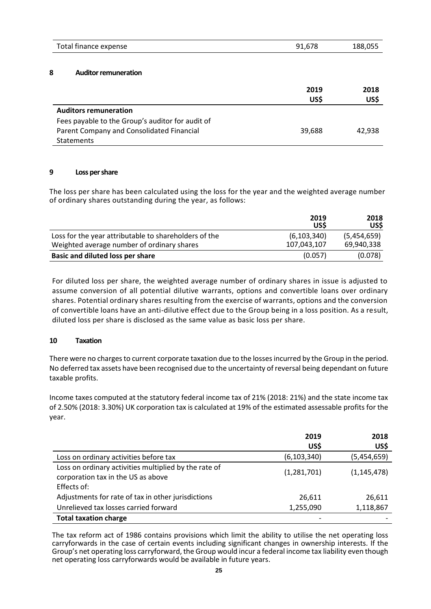| Total finance expense | 91,678 | 188,055 |
|-----------------------|--------|---------|
|                       |        |         |

### **8 Auditor remuneration**

|                                                  | 2019<br>US\$ | 2018<br>US\$ |
|--------------------------------------------------|--------------|--------------|
| <b>Auditors remuneration</b>                     |              |              |
| Fees payable to the Group's auditor for audit of |              |              |
| Parent Company and Consolidated Financial        | 39,688       | 42.938       |
| Statements                                       |              |              |

### **9 Loss per share**

The loss per share has been calculated using the loss for the year and the weighted average number of ordinary shares outstanding during the year, as follows:

|                                                                                                     | 2019<br>US\$                 | 2018<br>US\$              |
|-----------------------------------------------------------------------------------------------------|------------------------------|---------------------------|
| Loss for the year attributable to shareholders of the<br>Weighted average number of ordinary shares | (6, 103, 340)<br>107,043,107 | (5,454,659)<br>69,940,338 |
| <b>Basic and diluted loss per share</b>                                                             | (0.057)                      | (0.078)                   |

For diluted loss per share, the weighted average number of ordinary shares in issue is adjusted to assume conversion of all potential dilutive warrants, options and convertible loans over ordinary shares. Potential ordinary shares resulting from the exercise of warrants, options and the conversion of convertible loans have an anti-dilutive effect due to the Group being in a loss position. As a result, diluted loss per share is disclosed as the same value as basic loss per share.

### **10 Taxation**

There were no charges to current corporate taxation due to the losses incurred by the Group in the period. No deferred tax assets have been recognised due to the uncertainty of reversal being dependant on future taxable profits.

Income taxes computed at the statutory federal income tax of 21% (2018: 21%) and the state income tax of 2.50% (2018: 3.30%) UK corporation tax is calculated at 19% of the estimated assessable profits for the year.

|                                                                                                            | 2019          | 2018          |
|------------------------------------------------------------------------------------------------------------|---------------|---------------|
|                                                                                                            | US\$          | US\$          |
| Loss on ordinary activities before tax                                                                     | (6, 103, 340) | (5,454,659)   |
| Loss on ordinary activities multiplied by the rate of<br>corporation tax in the US as above<br>Effects of: | (1,281,701)   | (1, 145, 478) |
| Adjustments for rate of tax in other jurisdictions                                                         | 26,611        | 26,611        |
| Unrelieved tax losses carried forward                                                                      | 1,255,090     | 1,118,867     |
| <b>Total taxation charge</b>                                                                               |               |               |

The tax reform act of 1986 contains provisions which limit the ability to utilise the net operating loss carryforwards in the case of certain events including significant changes in ownership interests. If the Group's net operating loss carryforward, the Group would incur a federal income tax liability even though net operating loss carryforwards would be available in future years.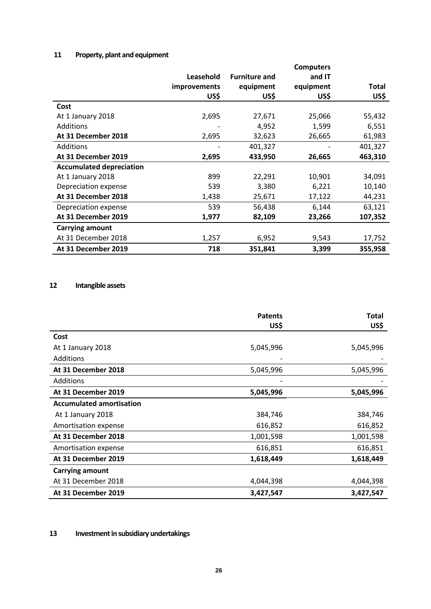# **11 Property, plant and equipment**

|                                 |                     |                      | <b>Computers</b> |         |
|---------------------------------|---------------------|----------------------|------------------|---------|
|                                 | Leasehold           | <b>Furniture and</b> | and IT           |         |
|                                 | <i>improvements</i> | equipment            | equipment        | Total   |
|                                 | US\$                | US\$                 | US\$             | US\$    |
| Cost                            |                     |                      |                  |         |
| At 1 January 2018               | 2,695               | 27,671               | 25,066           | 55,432  |
| Additions                       |                     | 4,952                | 1,599            | 6,551   |
| At 31 December 2018             | 2,695               | 32,623               | 26,665           | 61,983  |
| Additions                       |                     | 401,327              |                  | 401,327 |
| At 31 December 2019             | 2,695               | 433,950              | 26,665           | 463,310 |
| <b>Accumulated depreciation</b> |                     |                      |                  |         |
| At 1 January 2018               | 899                 | 22,291               | 10,901           | 34,091  |
| Depreciation expense            | 539                 | 3,380                | 6,221            | 10,140  |
| At 31 December 2018             | 1,438               | 25,671               | 17,122           | 44,231  |
| Depreciation expense            | 539                 | 56,438               | 6,144            | 63,121  |
| At 31 December 2019             | 1,977               | 82,109               | 23,266           | 107,352 |
| <b>Carrying amount</b>          |                     |                      |                  |         |
| At 31 December 2018             | 1,257               | 6,952                | 9,543            | 17,752  |
| At 31 December 2019             | 718                 | 351,841              | 3,399            | 355,958 |

# **12 Intangible assets**

|                                 | <b>Patents</b> | Total     |
|---------------------------------|----------------|-----------|
|                                 | US\$           | US\$      |
| Cost                            |                |           |
| At 1 January 2018               | 5,045,996      | 5,045,996 |
| Additions                       |                |           |
| At 31 December 2018             | 5,045,996      | 5,045,996 |
| <b>Additions</b>                |                |           |
| At 31 December 2019             | 5,045,996      | 5,045,996 |
| <b>Accumulated amortisation</b> |                |           |
| At 1 January 2018               | 384,746        | 384,746   |
| Amortisation expense            | 616,852        | 616,852   |
| At 31 December 2018             | 1,001,598      | 1,001,598 |
| Amortisation expense            | 616,851        | 616,851   |
| At 31 December 2019             | 1,618,449      | 1,618,449 |
| <b>Carrying amount</b>          |                |           |
| At 31 December 2018             | 4,044,398      | 4,044,398 |
| At 31 December 2019             | 3,427,547      | 3,427,547 |

**13 Investment in subsidiary undertakings**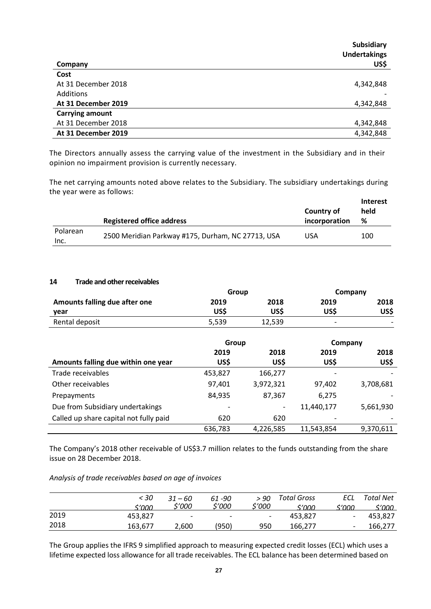| Company                | Subsidiary<br><b>Undertakings</b><br>US\$ |
|------------------------|-------------------------------------------|
| Cost                   |                                           |
| At 31 December 2018    | 4,342,848                                 |
| Additions              |                                           |
| At 31 December 2019    | 4,342,848                                 |
| <b>Carrying amount</b> |                                           |
| At 31 December 2018    | 4,342,848                                 |
| At 31 December 2019    | 4,342,848                                 |

The Directors annually assess the carrying value of the investment in the Subsidiary and in their opinion no impairment provision is currently necessary.

The net carrying amounts noted above relates to the Subsidiary. The subsidiary undertakings during the year were as follows:

|                  | <b>Registered office address</b>                  | Country of<br>incorporation | Interest<br>held<br>% |
|------------------|---------------------------------------------------|-----------------------------|-----------------------|
| Polarean<br>Inc. | 2500 Meridian Parkway #175, Durham, NC 27713, USA | USA                         | 100                   |

### **14 Trade and other receivables**

|                               |       | Group  |                          | Company                  |  |
|-------------------------------|-------|--------|--------------------------|--------------------------|--|
| Amounts falling due after one | 2019  | 2018   | 2019                     | 2018                     |  |
| year                          | US\$  | US\$   | US\$                     | US\$                     |  |
| Rental deposit                | 5,539 | 12,539 | $\overline{\phantom{0}}$ | $\overline{\phantom{0}}$ |  |

|                                        | Group   |           | Company                  |           |
|----------------------------------------|---------|-----------|--------------------------|-----------|
|                                        | 2019    | 2018      | 2019                     | 2018      |
| Amounts falling due within one year    | US\$    | US\$      | US\$                     | US\$      |
| Trade receivables                      | 453,827 | 166,277   | -                        |           |
| Other receivables                      | 97,401  | 3,972,321 | 97,402                   | 3,708,681 |
| Prepayments                            | 84,935  | 87,367    | 6,275                    |           |
| Due from Subsidiary undertakings       | ٠       | -         | 11,440,177               | 5,661,930 |
| Called up share capital not fully paid | 620     | 620       | $\overline{\phantom{a}}$ |           |
|                                        | 636,783 | 4,226,585 | 11,543,854               | 9,370,611 |

The Company's 2018 other receivable of US\$3.7 million relates to the funds outstanding from the share issue on 28 December 2018.

*Analysis of trade receivables based on age of invoices* 

|      | < 30<br>≮′∩∩∩ | 31 – 60<br>\$'000        | 61 -90<br>\$'000         | > 90<br>\$'000           | Total Gross<br>s'nnn | ECL<br>s'nnn             | <b>Total Net</b><br>s'nnn |
|------|---------------|--------------------------|--------------------------|--------------------------|----------------------|--------------------------|---------------------------|
| 2019 | 453,827       | $\overline{\phantom{a}}$ | $\overline{\phantom{0}}$ | $\overline{\phantom{a}}$ | 453.827              | $\overline{\phantom{a}}$ | 453.827                   |
| 2018 | 163.677       | 2.600                    | (950)                    | 950                      | 166.277              | $\overline{\phantom{0}}$ | 166.277                   |

The Group applies the IFRS 9 simplified approach to measuring expected credit losses (ECL) which uses a lifetime expected loss allowance for all trade receivables. The ECL balance has been determined based on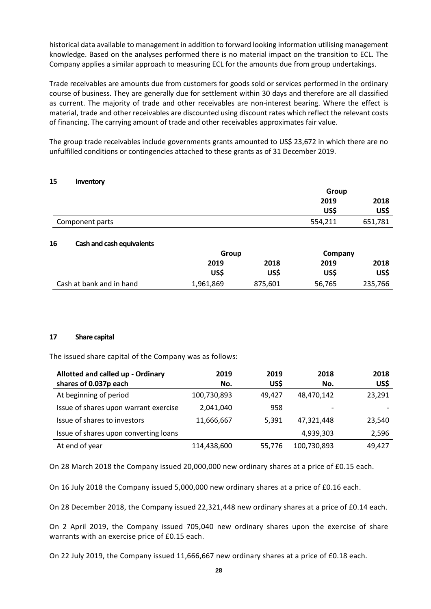historical data available to management in addition to forward looking information utilising management knowledge. Based on the analyses performed there is no material impact on the transition to ECL. The Company applies a similar approach to measuring ECL for the amounts due from group undertakings.

Trade receivables are amounts due from customers for goods sold or services performed in the ordinary course of business. They are generally due for settlement within 30 days and therefore are all classified as current. The majority of trade and other receivables are non-interest bearing. Where the effect is material, trade and other receivables are discounted using discount rates which reflect the relevant costs of financing. The carrying amount of trade and other receivables approximates fair value.

The group trade receivables include governments grants amounted to US\$ 23,672 in which there are no unfulfilled conditions or contingencies attached to these grants as of 31 December 2019.

### **15 Inventory**

|                 | Group   |         |
|-----------------|---------|---------|
|                 | 2019    | 2018    |
|                 | US\$    | US\$    |
| Component parts | 554,211 | 651,781 |

#### **16 Cash and cash equivalents**

|                          | Group     |         | Company |         |
|--------------------------|-----------|---------|---------|---------|
|                          | 2019      | 2018    | 2019    | 2018    |
|                          | US\$      | US\$    | US\$    | US\$    |
| Cash at bank and in hand | 1,961,869 | 875,601 | 56,765  | 235,766 |

#### **17 Share capital**

The issued share capital of the Company was as follows:

| Allotted and called up - Ordinary     | 2019        | 2019   | 2018                     | 2018   |
|---------------------------------------|-------------|--------|--------------------------|--------|
| shares of 0.037p each                 | No.         | US\$   | No.                      | US\$   |
| At beginning of period                | 100,730,893 | 49,427 | 48,470,142               | 23,291 |
| Issue of shares upon warrant exercise | 2,041,040   | 958    | $\overline{\phantom{a}}$ |        |
| Issue of shares to investors          | 11,666,667  | 5,391  | 47.321.448               | 23,540 |
| Issue of shares upon converting loans |             |        | 4,939,303                | 2,596  |
| At end of year                        | 114,438,600 | 55,776 | 100,730,893              | 49,427 |

On 28 March 2018 the Company issued 20,000,000 new ordinary shares at a price of £0.15 each.

On 16 July 2018 the Company issued 5,000,000 new ordinary shares at a price of £0.16 each.

On 28 December 2018, the Company issued 22,321,448 new ordinary shares at a price of £0.14 each.

On 2 April 2019, the Company issued 705,040 new ordinary shares upon the exercise of share warrants with an exercise price of £0.15 each.

On 22 July 2019, the Company issued 11,666,667 new ordinary shares at a price of £0.18 each.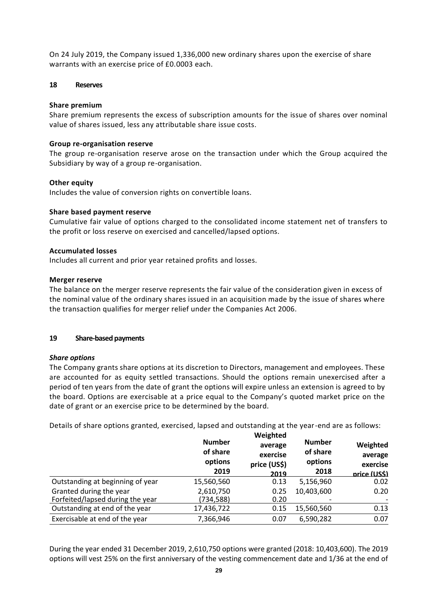On 24 July 2019, the Company issued 1,336,000 new ordinary shares upon the exercise of share warrants with an exercise price of £0.0003 each.

### **18 Reserves**

### **Share premium**

Share premium represents the excess of subscription amounts for the issue of shares over nominal value of shares issued, less any attributable share issue costs.

### **Group re-organisation reserve**

The group re-organisation reserve arose on the transaction under which the Group acquired the Subsidiary by way of a group re-organisation.

### **Other equity**

Includes the value of conversion rights on convertible loans.

### **Share based payment reserve**

Cumulative fair value of options charged to the consolidated income statement net of transfers to the profit or loss reserve on exercised and cancelled/lapsed options.

### **Accumulated losses**

Includes all current and prior year retained profits and losses.

#### **Merger reserve**

The balance on the merger reserve represents the fair value of the consideration given in excess of the nominal value of the ordinary shares issued in an acquisition made by the issue of shares where the transaction qualifies for merger relief under the Companies Act 2006.

### **19 Share-based payments**

#### *Share options*

The Company grants share options at its discretion to Directors, management and employees. These are accounted for as equity settled transactions. Should the options remain unexercised after a period of ten years from the date of grant the options will expire unless an extension is agreed to by the board. Options are exercisable at a price equal to the Company's quoted market price on the date of grant or an exercise price to be determined by the board.

Details of share options granted, exercised, lapsed and outstanding at the year-end are as follows:

|                                                             | <b>Number</b><br>of share<br>options<br>2019 | Weighted<br>average<br>exercise<br>price (US\$)<br>2019 | <b>Number</b><br>of share<br>options<br>2018 | Weighted<br>average<br>exercise<br>price (US\$) |
|-------------------------------------------------------------|----------------------------------------------|---------------------------------------------------------|----------------------------------------------|-------------------------------------------------|
| Outstanding at beginning of year                            | 15,560,560                                   | 0.13                                                    | 5,156,960                                    | 0.02                                            |
| Granted during the year<br>Forfeited/lapsed during the year | 2,610,750<br>(734, 588)                      | 0.25<br>0.20                                            | 10,403,600                                   | 0.20                                            |
| Outstanding at end of the year                              | 17,436,722                                   | 0.15                                                    | 15,560,560                                   | 0.13                                            |
| Exercisable at end of the year                              | 7,366,946                                    | 0.07                                                    | 6,590,282                                    | 0.07                                            |

During the year ended 31 December 2019, 2,610,750 options were granted (2018: 10,403,600). The 2019 options will vest 25% on the first anniversary of the vesting commencement date and 1/36 at the end of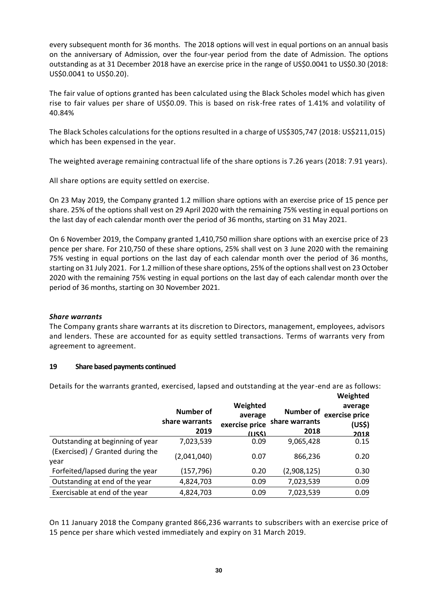every subsequent month for 36 months. The 2018 options will vest in equal portions on an annual basis on the anniversary of Admission, over the four-year period from the date of Admission. The options outstanding as at 31 December 2018 have an exercise price in the range of US\$0.0041 to US\$0.30 (2018: US\$0.0041 to US\$0.20).

The fair value of options granted has been calculated using the Black Scholes model which has given rise to fair values per share of US\$0.09. This is based on risk-free rates of 1.41% and volatility of 40.84%

The Black Scholes calculations for the options resulted in a charge of US\$305,747 (2018: US\$211,015) which has been expensed in the year.

The weighted average remaining contractual life of the share options is 7.26 years (2018: 7.91 years).

All share options are equity settled on exercise.

On 23 May 2019, the Company granted 1.2 million share options with an exercise price of 15 pence per share. 25% of the options shall vest on 29 April 2020 with the remaining 75% vesting in equal portions on the last day of each calendar month over the period of 36 months, starting on 31 May 2021.

On 6 November 2019, the Company granted 1,410,750 million share options with an exercise price of 23 pence per share. For 210,750 of these share options, 25% shall vest on 3 June 2020 with the remaining 75% vesting in equal portions on the last day of each calendar month over the period of 36 months, starting on 31 July 2021. For 1.2 million of these share options, 25% of the options shall vest on 23 October 2020 with the remaining 75% vesting in equal portions on the last day of each calendar month over the period of 36 months, starting on 30 November 2021.

### *Share warrants*

The Company grants share warrants at its discretion to Directors, management, employees, advisors and lenders. These are accounted for as equity settled transactions. Terms of warrants very from agreement to agreement.

### **19 Share based payments continued**

Details for the warrants granted, exercised, lapsed and outstanding at the year-end are as follows:

|                                          |                                     |                                                 |                                     | Weighted                                    |
|------------------------------------------|-------------------------------------|-------------------------------------------------|-------------------------------------|---------------------------------------------|
|                                          | Number of<br>share warrants<br>2019 | Weighted<br>average<br>exercise price<br>(1155) | Number of<br>share warrants<br>2018 | average<br>exercise price<br>(US\$)<br>2018 |
| Outstanding at beginning of year         | 7,023,539                           | 0.09                                            | 9,065,428                           | 0.15                                        |
| (Exercised) / Granted during the<br>year | (2,041,040)                         | 0.07                                            | 866,236                             | 0.20                                        |
| Forfeited/lapsed during the year         | (157,796)                           | 0.20                                            | (2,908,125)                         | 0.30                                        |
| Outstanding at end of the year           | 4,824,703                           | 0.09                                            | 7,023,539                           | 0.09                                        |
| Exercisable at end of the year           | 4,824,703                           | 0.09                                            | 7,023,539                           | 0.09                                        |

On 11 January 2018 the Company granted 866,236 warrants to subscribers with an exercise price of 15 pence per share which vested immediately and expiry on 31 March 2019.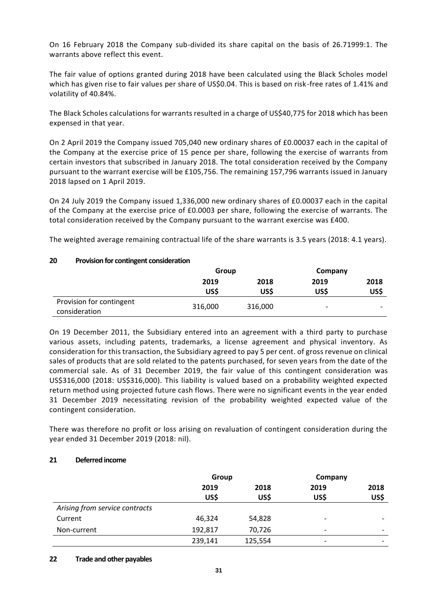On 16 February 2018 the Company sub-divided its share capital on the basis of 26.71999:1. The warrants above reflect this event.

The fair value of options granted during 2018 have been calculated using the Black Scholes model which has given rise to fair values per share of US\$0.04. This is based on risk-free rates of 1.41% and volatility of 40.84%.

The Black Scholes calculations for warrants resulted in a charge of US\$40,775 for 2018 which has been expensed in that year.

On 2 April 2019 the Company issued 705,040 new ordinary shares of £0.00037 each in the capital of the Company at the exercise price of 15 pence per share, following the exercise of warrants from certain investors that subscribed in January 2018. The total consideration received by the Company pursuant to the warrant exercise will be £105,756. The remaining 157,796 warrants issued in January 2018 lapsed on 1 April 2019.

On 24 July 2019 the Company issued 1,336,000 new ordinary shares of £0.00037 each in the capital of the Company at the exercise price of £0.0003 per share, following the exercise of warrants. The total consideration received by the Company pursuant to the warrant exercise was £400.

The weighted average remaining contractual life of the share warrants is 3.5 years (2018: 4.1 years).

**US\$**

consideration 316,000 316,000 - -

**US\$**

**Group Company**

**2018 US\$**

**2019 US\$**

| Provision for contingent consideration |       |      |  |
|----------------------------------------|-------|------|--|
|                                        | Group |      |  |
|                                        | 2019  | 2018 |  |
|                                        |       |      |  |

### **20 Provision for contingent consideration**

Provision for contingent

| On 19 December 2011, the Subsidiary entered into an agreement with a third party to purchase              |
|-----------------------------------------------------------------------------------------------------------|
| various assets, including patents, trademarks, a license agreement and physical inventory. As             |
| consideration for this transaction, the Subsidiary agreed to pay 5 per cent. of gross revenue on clinical |
| sales of products that are sold related to the patents purchased, for seven years from the date of the    |
| commercial sale. As of 31 December 2019, the fair value of this contingent consideration was              |
| US\$316,000 (2018: US\$316,000). This liability is valued based on a probability weighted expected        |
| return method using projected future cash flows. There were no significant events in the year ended       |
| 31 December 2019 necessitating revision of the probability weighted expected value of the                 |
| contingent consideration.                                                                                 |

There was therefore no profit or loss arising on revaluation of contingent consideration during the year ended 31 December 2019 (2018: nil).

### **21 Deferred income**

|                                | Group   |         | Company                  |                          |
|--------------------------------|---------|---------|--------------------------|--------------------------|
|                                | 2019    | 2018    | 2019                     | 2018                     |
|                                | US\$    | US\$    | US\$                     | US\$                     |
| Arising from service contracts |         |         |                          |                          |
| Current                        | 46,324  | 54,828  | $\overline{\phantom{0}}$ | $\overline{\phantom{0}}$ |
| Non-current                    | 192,817 | 70,726  | $\overline{\phantom{0}}$ | $\overline{\phantom{a}}$ |
|                                | 239,141 | 125,554 | $\overline{\phantom{a}}$ | $\overline{\phantom{a}}$ |

#### **22 Trade and other payables**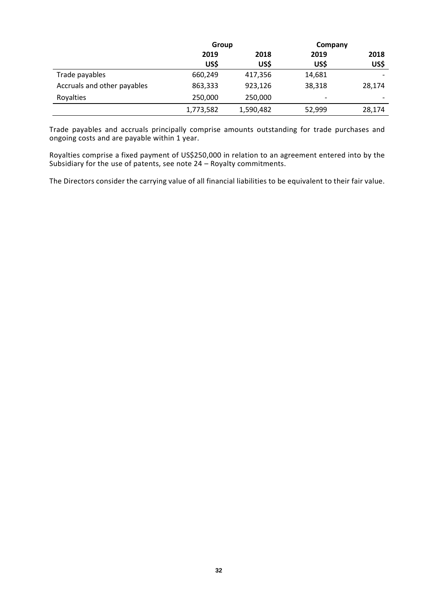|                             | Group     |           |        | Company |  |  |  |  |      |
|-----------------------------|-----------|-----------|--------|---------|--|--|--|--|------|
|                             | 2019      | 2018      |        | 2019    |  |  |  |  | 2018 |
|                             | US\$      | US\$      | US\$   | US\$    |  |  |  |  |      |
| Trade payables              | 660,249   | 417,356   | 14,681 |         |  |  |  |  |      |
| Accruals and other payables | 863,333   | 923,126   | 38,318 | 28,174  |  |  |  |  |      |
| Royalties                   | 250,000   | 250,000   | ۰      |         |  |  |  |  |      |
|                             | 1,773,582 | 1,590,482 | 52,999 | 28,174  |  |  |  |  |      |

Trade payables and accruals principally comprise amounts outstanding for trade purchases and ongoing costs and are payable within 1 year.

Royalties comprise a fixed payment of US\$250,000 in relation to an agreement entered into by the Subsidiary for the use of patents, see note 24 – Royalty commitments.

The Directors consider the carrying value of all financial liabilities to be equivalent to their fair value.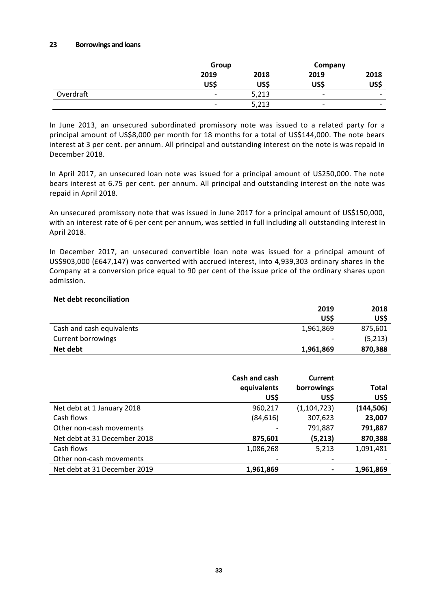#### **23 Borrowings and loans**

|           | Group                    |       | Company                  |                          |
|-----------|--------------------------|-------|--------------------------|--------------------------|
|           | 2019                     | 2018  | 2019                     | 2018                     |
|           | US\$                     | US\$  | US\$                     | US\$                     |
| Overdraft | $\overline{\phantom{a}}$ | 5,213 | $\overline{\phantom{0}}$ | $\overline{\phantom{a}}$ |
|           | $\overline{\phantom{a}}$ | 5,213 | $\overline{\phantom{0}}$ | -                        |

In June 2013, an unsecured subordinated promissory note was issued to a related party for a principal amount of US\$8,000 per month for 18 months for a total of US\$144,000. The note bears interest at 3 per cent. per annum. All principal and outstanding interest on the note is was repaid in December 2018.

In April 2017, an unsecured loan note was issued for a principal amount of US250,000. The note bears interest at 6.75 per cent. per annum. All principal and outstanding interest on the note was repaid in April 2018.

An unsecured promissory note that was issued in June 2017 for a principal amount of US\$150,000, with an interest rate of 6 per cent per annum, was settled in full including all outstanding interest in April 2018.

In December 2017, an unsecured convertible loan note was issued for a principal amount of US\$903,000 (£647,147) was converted with accrued interest, into 4,939,303 ordinary shares in the Company at a conversion price equal to 90 per cent of the issue price of the ordinary shares upon admission.

### **Net debt reconciliation**

|                           | 2019      | 2018    |
|---------------------------|-----------|---------|
|                           | US\$      | US\$    |
| Cash and cash equivalents | 1,961,869 | 875,601 |
| Current borrowings        | -         | (5,213) |
| Net debt                  | 1,961,869 | 870,388 |

|                              | Cash and cash | Current       |              |
|------------------------------|---------------|---------------|--------------|
|                              | equivalents   | borrowings    | <b>Total</b> |
|                              | US\$          | US\$          | US\$         |
| Net debt at 1 January 2018   | 960,217       | (1, 104, 723) | (144, 506)   |
| Cash flows                   | (84, 616)     | 307,623       | 23,007       |
| Other non-cash movements     |               | 791,887       | 791,887      |
| Net debt at 31 December 2018 | 875,601       | (5,213)       | 870,388      |
| Cash flows                   | 1,086,268     | 5,213         | 1,091,481    |
| Other non-cash movements     |               |               |              |
| Net debt at 31 December 2019 | 1,961,869     |               | 1,961,869    |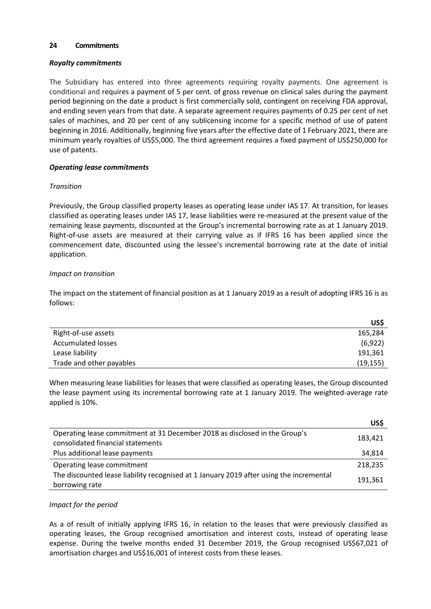### **24 Commitments**

### *Royalty commitments*

The Subsidiary has entered into three agreements requiring royalty payments. One agreement is conditional and requires a payment of 5 per cent. of gross revenue on clinical sales during the payment period beginning on the date a product is first commercially sold, contingent on receiving FDA approval, and ending seven years from that date. A separate agreement requires payments of 0.25 per cent of net sales of machines, and 20 per cent of any sublicensing income for a specific method of use of patent beginning in 2016. Additionally, beginning five years after the effective date of 1 February 2021, there are minimum yearly royalties of US\$5,000. The third agreement requires a fixed payment of US\$250,000 for use of patents.

### *Operating lease commitments*

### *Transition*

Previously, the Group classified property leases as operating lease under IAS 17. At transition, for leases classified as operating leases under IAS 17, lease liabilities were re-measured at the present value of the remaining lease payments, discounted at the Group's incremental borrowing rate as at 1 January 2019. Right-of-use assets are measured at their carrying value as if IFRS 16 has been applied since the commencement date, discounted using the lessee's incremental borrowing rate at the date of initial application.

### *Impact on transition*

The impact on the statement of financial position as at 1 January 2019 as a result of adopting IFRS 16 is as follows:

|                          | US\$      |
|--------------------------|-----------|
| Right-of-use assets      | 165,284   |
| Accumulated losses       | (6,922)   |
| Lease liability          | 191,361   |
| Trade and other payables | (19, 155) |

When measuring lease liabilities for leases that were classified as operating leases, the Group discounted the lease payment using its incremental borrowing rate at 1 January 2019. The weighted-average rate applied is 10%.

|                                                                                                                 | US\$    |
|-----------------------------------------------------------------------------------------------------------------|---------|
| Operating lease commitment at 31 December 2018 as disclosed in the Group's<br>consolidated financial statements | 183,421 |
| Plus additional lease payments                                                                                  | 34,814  |
| Operating lease commitment                                                                                      | 218,235 |
| The discounted lease liability recognised at 1 January 2019 after using the incremental<br>borrowing rate       | 191,361 |

#### *Impact for the period*

As a of result of initially applying IFRS 16, in relation to the leases that were previously classified as operating leases, the Group recognised amortisation and interest costs, instead of operating lease expense. During the twelve months ended 31 December 2019, the Group recognised US\$67,021 of amortisation charges and US\$16,001 of interest costs from these leases.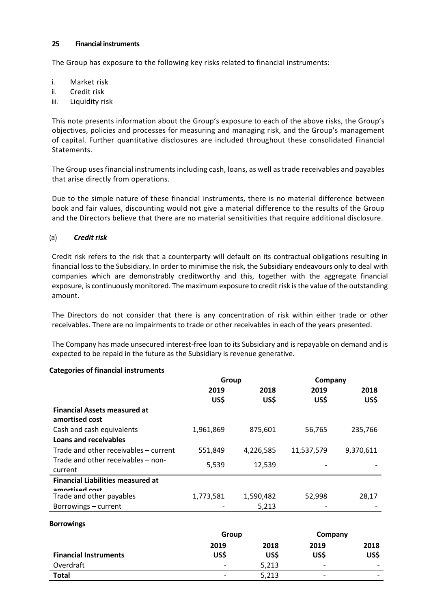### **25 Financial instruments**

The Group has exposure to the following key risks related to financial instruments:

- i. Market risk
- ii. Credit risk
- iii. Liquidity risk

This note presents information about the Group's exposure to each of the above risks, the Group's objectives, policies and processes for measuring and managing risk, and the Group's management of capital. Further quantitative disclosures are included throughout these consolidated Financial Statements.

The Group uses financial instruments including cash, loans, as well as trade receivables and payables that arise directly from operations.

Due to the simple nature of these financial instruments, there is no material difference between book and fair values, discounting would not give a material difference to the results of the Group and the Directors believe that there are no material sensitivities that require additional disclosure.

### (a) *Credit risk*

Credit risk refers to the risk that a counterparty will default on its contractual obligations resulting in financial loss to the Subsidiary. In order to minimise the risk, the Subsidiary endeavours only to deal with companies which are demonstrably creditworthy and this, together with the aggregate financial exposure, is continuously monitored. The maximum exposure to credit risk is the value of the outstanding amount.

The Directors do not consider that there is any concentration of risk within either trade or other receivables. There are no impairments to trade or other receivables in each of the years presented.

The Company has made unsecured interest-free loan to its Subsidiary and is repayable on demand and is expected to be repaid in the future as the Subsidiary is revenue generative.

|                                            | Group     |           | Company    |           |
|--------------------------------------------|-----------|-----------|------------|-----------|
|                                            | 2019      | 2018      | 2019       | 2018      |
|                                            | US\$      | US\$      | US\$       | US\$      |
| <b>Financial Assets measured at</b>        |           |           |            |           |
| amortised cost                             |           |           |            |           |
| Cash and cash equivalents                  | 1,961,869 | 875,601   | 56,765     | 235,766   |
| Loans and receivables                      |           |           |            |           |
| Trade and other receivables - current      | 551,849   | 4,226,585 | 11,537,579 | 9,370,611 |
| Trade and other receivables – non-         | 5,539     | 12,539    |            |           |
| current                                    |           |           |            |           |
| <b>Financial Liabilities measured at</b>   |           |           |            |           |
| amorticad cost<br>Trade and other payables | 1,773,581 | 1,590,482 | 52,998     | 28,17     |
| Borrowings - current                       |           | 5,213     |            |           |

#### **Categories of financial instruments**

#### **Borrowings**

|                              | Group                    |       | Company |      |
|------------------------------|--------------------------|-------|---------|------|
|                              | 2019                     | 2018  | 2019    | 2018 |
| <b>Financial Instruments</b> | US\$                     | US\$  | US\$    | US\$ |
| Overdraft                    | $\overline{\phantom{0}}$ | 5,213 | -       |      |
| <b>Total</b>                 | $\overline{\phantom{a}}$ | 5,213 | -       |      |
|                              |                          |       |         |      |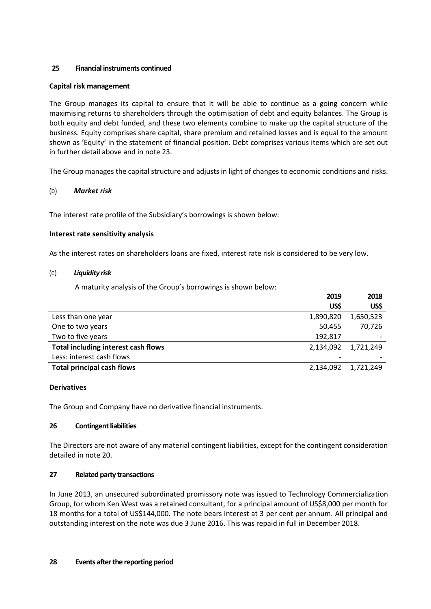# **25 Financial instruments continued**

## **Capital risk management**

The Group manages its capital to ensure that it will be able to continue as a going concern while maximising returns to shareholders through the optimisation of debt and equity balances. The Group is both equity and debt funded, and these two elements combine to make up the capital structure of the business. Equity comprises share capital, share premium and retained losses and is equal to the amount shown as 'Equity' in the statement of financial position. Debt comprises various items which are set out in further detail above and in note 23.

The Group manages the capital structure and adjusts in light of changes to economic conditions and risks.

# (b) *Market risk*

The interest rate profile of the Subsidiary's borrowings is shown below:

### **Interest rate sensitivity analysis**

As the interest rates on shareholders loans are fixed, interest rate risk is considered to be very low.

### (c) *Liquidity risk*

A maturity analysis of the Group's borrowings is shown below:

|                                     | 2019      | 2018      |
|-------------------------------------|-----------|-----------|
|                                     | US\$      | US\$      |
| Less than one year                  | 1,890,820 | 1,650,523 |
| One to two years                    | 50,455    | 70,726    |
| Two to five years                   | 192,817   |           |
| Total including interest cash flows | 2,134,092 | 1,721,249 |
| Less: interest cash flows           |           |           |
| <b>Total principal cash flows</b>   | 2,134,092 | 1,721,249 |

### **Derivatives**

The Group and Company have no derivative financial instruments.

### **26 Contingent liabilities**

The Directors are not aware of any material contingent liabilities, except for the contingent consideration detailed in note 20.

### **27 Related party transactions**

In June 2013, an unsecured subordinated promissory note was issued to Technology Commercialization Group, for whom Ken West was a retained consultant, for a principal amount of US\$8,000 per month for 18 months for a total of US\$144,000. The note bears interest at 3 per cent per annum. All principal and outstanding interest on the note was due 3 June 2016. This was repaid in full in December 2018.